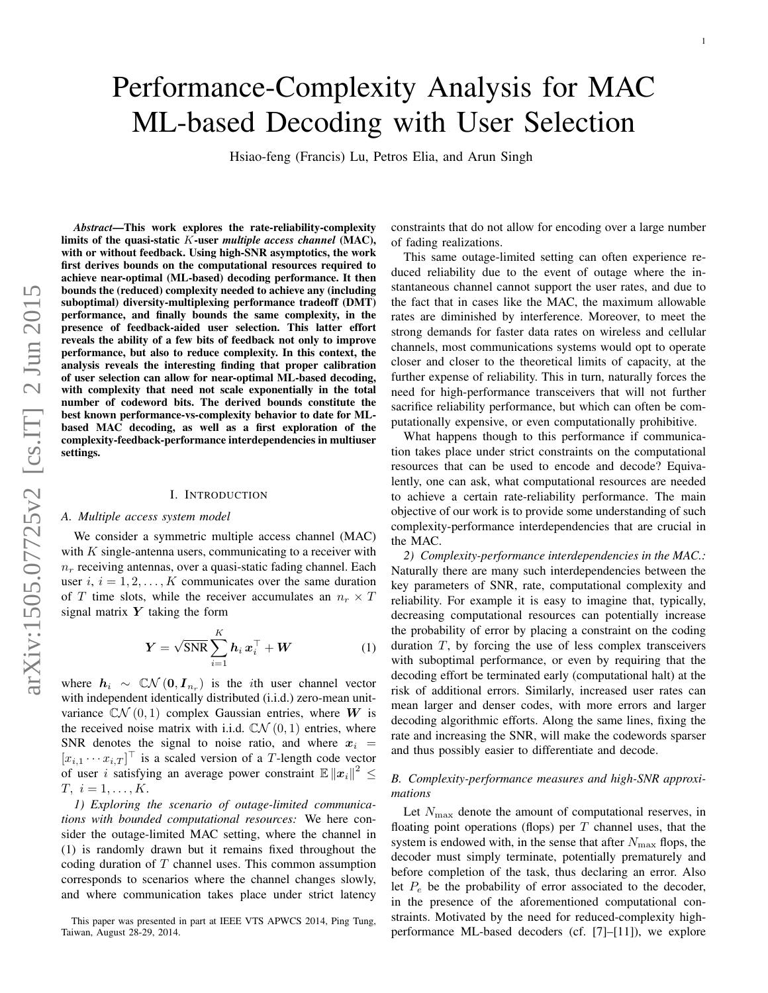# Performance-Complexity Analysis for MAC ML-based Decoding with User Selection

Hsiao-feng (Francis) Lu, Petros Elia, and Arun Singh

*Abstract*—This work explores the rate-reliability-complexity limits of the quasi-static K-user *multiple access channel* (MAC), with or without feedback. Using high-SNR asymptotics, the work first derives bounds on the computational resources required to achieve near-optimal (ML-based) decoding performance. It then bounds the (reduced) complexity needed to achieve any (including suboptimal) diversity-multiplexing performance tradeoff (DMT) performance, and finally bounds the same complexity, in the presence of feedback-aided user selection. This latter effort reveals the ability of a few bits of feedback not only to improve performance, but also to reduce complexity. In this context, the analysis reveals the interesting finding that proper calibration of user selection can allow for near-optimal ML-based decoding, with complexity that need not scale exponentially in the total number of codeword bits. The derived bounds constitute the best known performance-vs-complexity behavior to date for MLbased MAC decoding, as well as a first exploration of the complexity-feedback-performance interdependencies in multiuser settings.

## I. INTRODUCTION

#### *A. Multiple access system model*

We consider a symmetric multiple access channel (MAC) with  $K$  single-antenna users, communicating to a receiver with  $n_r$  receiving antennas, over a quasi-static fading channel. Each user  $i, i = 1, 2, \ldots, K$  communicates over the same duration of T time slots, while the receiver accumulates an  $n_r \times T$ signal matrix  $Y$  taking the form

$$
\boldsymbol{Y} = \sqrt{\text{SNR}} \sum_{i=1}^{K} \boldsymbol{h}_i \, \boldsymbol{x}_i^{\top} + \boldsymbol{W} \tag{1}
$$

where  $h_i \sim \mathbb{C} \mathcal{N} (0, I_{n_r})$  is the *i*th user channel vector with independent identically distributed (i.i.d.) zero-mean unitvariance  $\mathbb{C}N(0,1)$  complex Gaussian entries, where W is the received noise matrix with i.i.d.  $\mathbb{C}\mathcal{N}(0, 1)$  entries, where SNR denotes the signal to noise ratio, and where  $x_i$  =  $[x_{i,1} \cdots x_{i,T}]^\top$  is a scaled version of a T-length code vector of user *i* satisfying an average power constraint  $\mathbb{E} \|x_i\|^2 \leq$  $T, i = 1, \ldots, K.$ 

*1) Exploring the scenario of outage-limited communications with bounded computational resources:* We here consider the outage-limited MAC setting, where the channel in (1) is randomly drawn but it remains fixed throughout the coding duration of T channel uses. This common assumption corresponds to scenarios where the channel changes slowly, and where communication takes place under strict latency

constraints that do not allow for encoding over a large number of fading realizations.

This same outage-limited setting can often experience reduced reliability due to the event of outage where the instantaneous channel cannot support the user rates, and due to the fact that in cases like the MAC, the maximum allowable rates are diminished by interference. Moreover, to meet the strong demands for faster data rates on wireless and cellular channels, most communications systems would opt to operate closer and closer to the theoretical limits of capacity, at the further expense of reliability. This in turn, naturally forces the need for high-performance transceivers that will not further sacrifice reliability performance, but which can often be computationally expensive, or even computationally prohibitive.

What happens though to this performance if communication takes place under strict constraints on the computational resources that can be used to encode and decode? Equivalently, one can ask, what computational resources are needed to achieve a certain rate-reliability performance. The main objective of our work is to provide some understanding of such complexity-performance interdependencies that are crucial in the MAC.

*2) Complexity-performance interdependencies in the MAC.:* Naturally there are many such interdependencies between the key parameters of SNR, rate, computational complexity and reliability. For example it is easy to imagine that, typically, decreasing computational resources can potentially increase the probability of error by placing a constraint on the coding duration T, by forcing the use of less complex transceivers with suboptimal performance, or even by requiring that the decoding effort be terminated early (computational halt) at the risk of additional errors. Similarly, increased user rates can mean larger and denser codes, with more errors and larger decoding algorithmic efforts. Along the same lines, fixing the rate and increasing the SNR, will make the codewords sparser and thus possibly easier to differentiate and decode.

# *B. Complexity-performance measures and high-SNR approximations*

Let  $N_{\text{max}}$  denote the amount of computational reserves, in floating point operations (flops) per  $T$  channel uses, that the system is endowed with, in the sense that after  $N_{\text{max}}$  flops, the decoder must simply terminate, potentially prematurely and before completion of the task, thus declaring an error. Also let  $P_e$  be the probability of error associated to the decoder, in the presence of the aforementioned computational constraints. Motivated by the need for reduced-complexity highperformance ML-based decoders (cf. [7]–[11]), we explore

This paper was presented in part at IEEE VTS APWCS 2014, Ping Tung, Taiwan, August 28-29, 2014.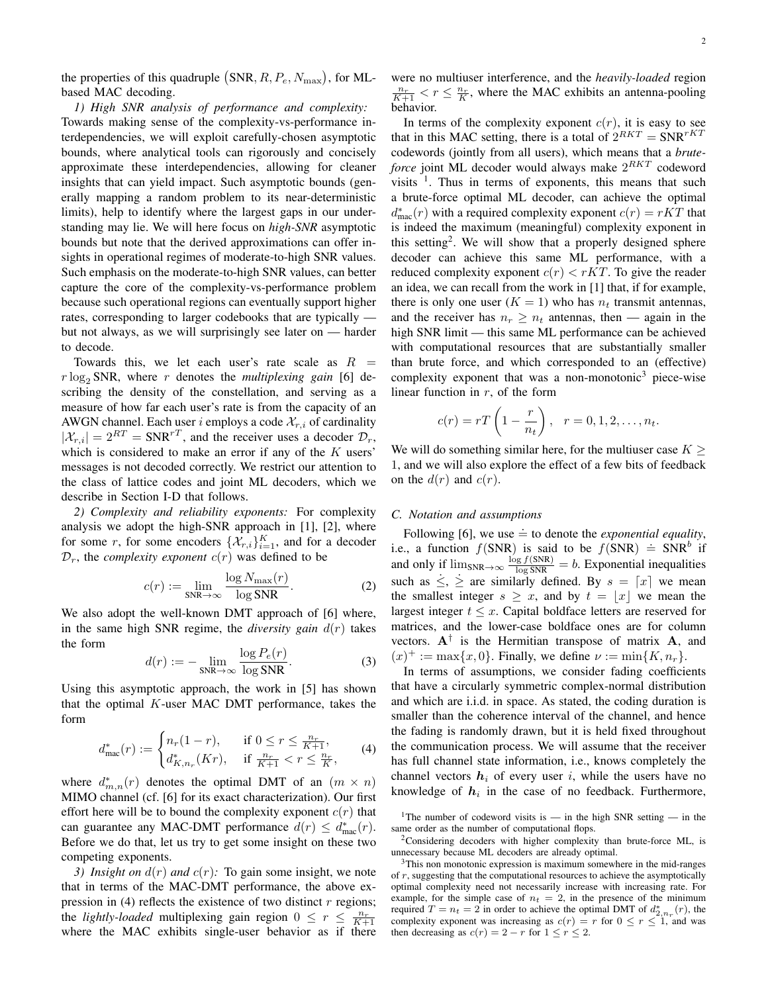the properties of this quadruple  $(SNR, R, P_e, N_{\text{max}})$ , for MLbased MAC decoding.

#### *1) High SNR analysis of performance and complexity:*

Towards making sense of the complexity-vs-performance interdependencies, we will exploit carefully-chosen asymptotic bounds, where analytical tools can rigorously and concisely approximate these interdependencies, allowing for cleaner insights that can yield impact. Such asymptotic bounds (generally mapping a random problem to its near-deterministic limits), help to identify where the largest gaps in our understanding may lie. We will here focus on *high-SNR* asymptotic bounds but note that the derived approximations can offer insights in operational regimes of moderate-to-high SNR values. Such emphasis on the moderate-to-high SNR values, can better capture the core of the complexity-vs-performance problem because such operational regions can eventually support higher rates, corresponding to larger codebooks that are typically but not always, as we will surprisingly see later on — harder to decode.

Towards this, we let each user's rate scale as  $R =$  $r \log_2 SNR$ , where r denotes the *multiplexing gain* [6] describing the density of the constellation, and serving as a measure of how far each user's rate is from the capacity of an AWGN channel. Each user i employs a code  $\mathcal{X}_{r,i}$  of cardinality  $|\mathcal{X}_{r,i}| = 2^{RT} = \text{SNR}^{rT}$ , and the receiver uses a decoder  $\mathcal{D}_r$ , which is considered to make an error if any of the  $K$  users' messages is not decoded correctly. We restrict our attention to the class of lattice codes and joint ML decoders, which we describe in Section I-D that follows.

*2) Complexity and reliability exponents:* For complexity analysis we adopt the high-SNR approach in [1], [2], where for some r, for some encoders  $\{\mathcal{X}_{r,i}\}_{i=1}^K$ , and for a decoder  $\mathcal{D}_r$ , the *complexity exponent*  $c(r)$  was defined to be

$$
c(r) := \lim_{\text{SNR}\to\infty} \frac{\log N_{\text{max}}(r)}{\log \text{SNR}}.\tag{2}
$$

We also adopt the well-known DMT approach of [6] where, in the same high SNR regime, the *diversity gain*  $d(r)$  takes the form

$$
d(r) := -\lim_{\text{SNR}\to\infty} \frac{\log P_e(r)}{\log \text{SNR}}.\tag{3}
$$

Using this asymptotic approach, the work in [5] has shown that the optimal  $K$ -user MAC DMT performance, takes the form

$$
d_{\max}^*(r) := \begin{cases} n_r(1-r), & \text{if } 0 \le r \le \frac{n_r}{K+1}, \\ d_{K,n_r}^*(Kr), & \text{if } \frac{n_r}{K+1} < r \le \frac{n_r}{K}, \end{cases} \tag{4}
$$

where  $d_{m,n}^*(r)$  denotes the optimal DMT of an  $(m \times n)$ MIMO channel (cf. [6] for its exact characterization). Our first effort here will be to bound the complexity exponent  $c(r)$  that can guarantee any MAC-DMT performance  $d(r) \leq d_{\text{mac}}^*(r)$ . Before we do that, let us try to get some insight on these two competing exponents.

*3) Insight on*  $d(r)$  *and*  $c(r)$ : To gain some insight, we note that in terms of the MAC-DMT performance, the above expression in (4) reflects the existence of two distinct  $r$  regions; the *lightly-loaded* multiplexing gain region  $0 \le r \le \frac{n_r}{K+1}$  where the MAC exhibits single-user behavior as if there were no multiuser interference, and the *heavily-loaded* region  $\frac{n_r}{K+1}$  <  $r \leq \frac{n_r}{K}$ , where the MAC exhibits an antenna-pooling behavior.

In terms of the complexity exponent  $c(r)$ , it is easy to see that in this MAC setting, there is a total of  $2^{RKT} = SNR^{rKT}$ codewords (jointly from all users), which means that a *bruteforce* joint ML decoder would always make  $2^{RKT}$  codeword visits  $\frac{1}{1}$ . Thus in terms of exponents, this means that such a brute-force optimal ML decoder, can achieve the optimal  $d_{\text{mac}}^*(r)$  with a required complexity exponent  $c(r) = rKT$  that is indeed the maximum (meaningful) complexity exponent in this setting<sup>2</sup>. We will show that a properly designed sphere decoder can achieve this same ML performance, with a reduced complexity exponent  $c(r) < rKT$ . To give the reader an idea, we can recall from the work in [1] that, if for example, there is only one user  $(K = 1)$  who has  $n_t$  transmit antennas, and the receiver has  $n_r \geq n_t$  antennas, then — again in the high SNR limit — this same ML performance can be achieved with computational resources that are substantially smaller than brute force, and which corresponded to an (effective) complexity exponent that was a non-monotonic<sup>3</sup> piece-wise linear function in  $r$ , of the form

$$
c(r) = rT\left(1 - \frac{r}{n_t}\right), \quad r = 0, 1, 2, \dots, n_t.
$$

We will do something similar here, for the multiuser case  $K \geq$ 1, and we will also explore the effect of a few bits of feedback on the  $d(r)$  and  $c(r)$ .

# *C. Notation and assumptions*

Following [6], we use  $\dot{=}$  to denote the *exponential equality*, i.e., a function  $f(SNR)$  is said to be  $f(SNR) \doteq SNR^b$  if and only if  $\lim_{SNR \to \infty} \frac{\log f(SNR)}{\log SNR} = b$ . Exponential inequalities such as  $\leq, \geq$  are similarly defined. By  $s = \lceil x \rceil$  we mean the smallest integer  $s \geq x$ , and by  $t = |x|$  we mean the largest integer  $t \leq x$ . Capital boldface letters are reserved for matrices, and the lower-case boldface ones are for column vectors.  $A^{\dagger}$  is the Hermitian transpose of matrix A, and  $(x)^{+} := \max\{x, 0\}.$  Finally, we define  $\nu := \min\{K, n_r\}.$ 

In terms of assumptions, we consider fading coefficients that have a circularly symmetric complex-normal distribution and which are i.i.d. in space. As stated, the coding duration is smaller than the coherence interval of the channel, and hence the fading is randomly drawn, but it is held fixed throughout the communication process. We will assume that the receiver has full channel state information, i.e., knows completely the channel vectors  $h_i$  of every user i, while the users have no knowledge of  $h_i$  in the case of no feedback. Furthermore,

<sup>&</sup>lt;sup>1</sup>The number of codeword visits is — in the high SNR setting — in the same order as the number of computational flops.

 $2$ Considering decoders with higher complexity than brute-force ML, is unnecessary because ML decoders are already optimal.

 $3$ This non monotonic expression is maximum somewhere in the mid-ranges of r, suggesting that the computational resources to achieve the asymptotically optimal complexity need not necessarily increase with increasing rate. For example, for the simple case of  $n_t = 2$ , in the presence of the minimum required  $T = n_t = 2$  in order to achieve the optimal DMT of  $d_{2,n_r}^*(r)$ , the complexity exponent was increasing as  $c(r) = r$  for  $0 \le r \le 1$ , and was then decreasing as  $c(r) = 2 - r$  for  $1 \le r \le 2$ .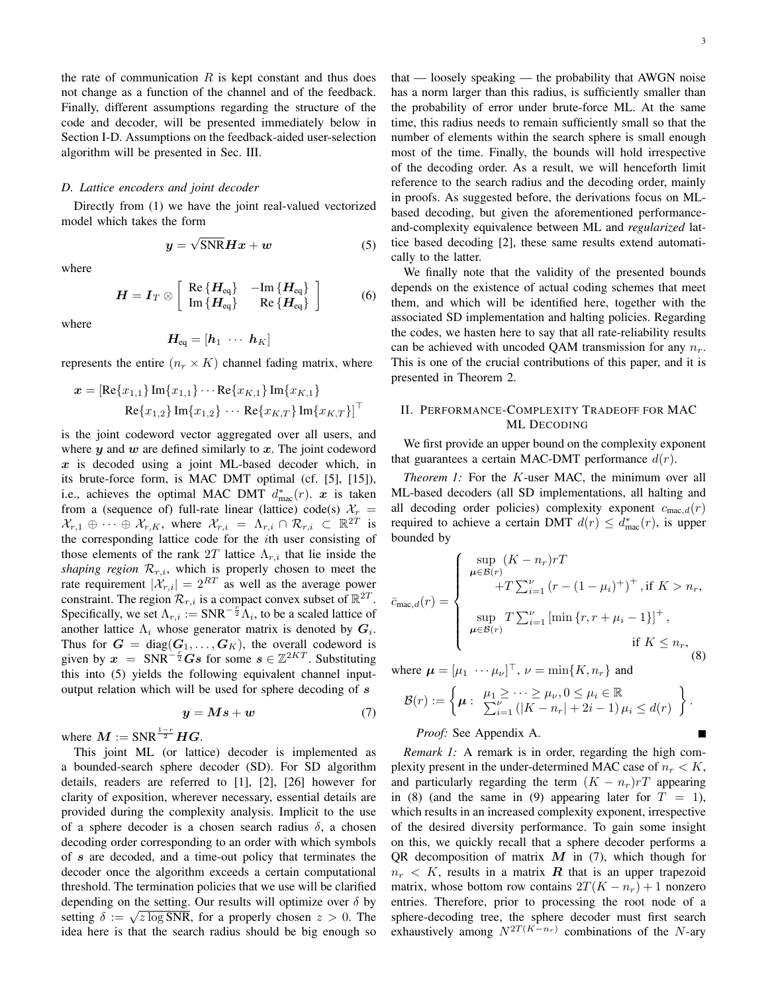the rate of communication  $R$  is kept constant and thus does not change as a function of the channel and of the feedback. Finally, different assumptions regarding the structure of the code and decoder, will be presented immediately below in Section I-D. Assumptions on the feedback-aided user-selection algorithm will be presented in Sec. III.

#### *D. Lattice encoders and joint decoder*

Directly from (1) we have the joint real-valued vectorized model which takes the form

$$
y = \sqrt{\text{SNR}} H x + w \tag{5}
$$

where

$$
H = I_T \otimes \left[ \begin{array}{cc} \text{Re} \left\{ H_{\text{eq}} \right\} & -\text{Im} \left\{ H_{\text{eq}} \right\} \\ \text{Im} \left\{ H_{\text{eq}} \right\} & \text{Re} \left\{ H_{\text{eq}} \right\} \end{array} \right] \tag{6}
$$

where

$$
\boldsymbol{H_{\text{eq}}} = [\boldsymbol{h}_1 \ \cdots \ \boldsymbol{h}_K]
$$

represents the entire  $(n_r \times K)$  channel fading matrix, where

$$
\boldsymbol{x} = [\text{Re}\{x_{1,1}\}\,\text{Im}\{x_{1,1}\}\cdots\text{Re}\{x_{K,1}\}\,\text{Im}\{x_{K,1}\}\,]}{\text{Re}\{x_{1,2}\}\,\text{Im}\{x_{1,2}\}\,\cdots\,\text{Re}\{x_{K,T}\}\,\text{Im}\{x_{K,T}\}]}^{\top}
$$

is the joint codeword vector aggregated over all users, and where  $y$  and  $w$  are defined similarly to  $x$ . The joint codeword  $x$  is decoded using a joint ML-based decoder which, in its brute-force form, is MAC DMT optimal (cf. [5], [15]), i.e., achieves the optimal MAC DMT  $d_{\text{mac}}^*(r)$ .  $x$  is taken from a (sequence of) full-rate linear (lattice) code(s)  $\mathcal{X}_r$  =  $\mathcal{X}_{r,1} \oplus \cdots \oplus \mathcal{X}_{r,K}$ , where  $\mathcal{X}_{r,i} = \Lambda_{r,i} \cap \mathcal{R}_{r,i} \subset \mathbb{R}^{2T}$  is the corresponding lattice code for the ith user consisting of those elements of the rank 2T lattice  $\Lambda_{r,i}$  that lie inside the *shaping region*  $\mathcal{R}_{r,i}$ , which is properly chosen to meet the rate requirement  $|\mathcal{X}_{r,i}| = 2^{RT}$  as well as the average power constraint. The region  $\mathcal{R}_{r,i}$  is a compact convex subset of  $\mathbb{R}^{2T}$ . Specifically, we set  $\Lambda_{r,i} := \text{SNR}^{-\frac{r}{2}} \Lambda_i$ , to be a scaled lattice of another lattice  $\Lambda_i$  whose generator matrix is denoted by  $G_i$ . Thus for  $G = diag(G_1, ..., G_K)$ , the overall codeword is given by  $x = SNR^{-\frac{r}{2}}Gs$  for some  $s \in \mathbb{Z}^{2KT}$ . Substituting this into (5) yields the following equivalent channel inputoutput relation which will be used for sphere decoding of s

$$
y = Ms + w \tag{7}
$$

where  $M := \text{SNR}^{\frac{1-r}{2}}HG$ .

This joint ML (or lattice) decoder is implemented as a bounded-search sphere decoder (SD). For SD algorithm details, readers are referred to [1], [2], [26] however for clarity of exposition, wherever necessary, essential details are provided during the complexity analysis. Implicit to the use of a sphere decoder is a chosen search radius  $\delta$ , a chosen decoding order corresponding to an order with which symbols of s are decoded, and a time-out policy that terminates the decoder once the algorithm exceeds a certain computational threshold. The termination policies that we use will be clarified depending on the setting. Our results will optimize over  $\delta$  by setting  $\delta := \sqrt{z \log SNR}$ , for a properly chosen  $z > 0$ . The idea here is that the search radius should be big enough so that — loosely speaking — the probability that AWGN noise has a norm larger than this radius, is sufficiently smaller than the probability of error under brute-force ML. At the same time, this radius needs to remain sufficiently small so that the number of elements within the search sphere is small enough most of the time. Finally, the bounds will hold irrespective of the decoding order. As a result, we will henceforth limit reference to the search radius and the decoding order, mainly in proofs. As suggested before, the derivations focus on MLbased decoding, but given the aforementioned performanceand-complexity equivalence between ML and *regularized* lattice based decoding [2], these same results extend automatically to the latter.

We finally note that the validity of the presented bounds depends on the existence of actual coding schemes that meet them, and which will be identified here, together with the associated SD implementation and halting policies. Regarding the codes, we hasten here to say that all rate-reliability results can be achieved with uncoded QAM transmission for any  $n_r$ . This is one of the crucial contributions of this paper, and it is presented in Theorem 2.

# II. PERFORMANCE-COMPLEXITY TRADEOFF FOR MAC ML DECODING

We first provide an upper bound on the complexity exponent that guarantees a certain MAC-DMT performance  $d(r)$ .

*Theorem 1:* For the K-user MAC, the minimum over all ML-based decoders (all SD implementations, all halting and all decoding order policies) complexity exponent  $c_{\text{mac},d}(r)$ required to achieve a certain DMT  $d(r) \leq d_{\text{mac}}^*(r)$ , is upper bounded by

$$
\bar{c}_{\max,d}(r) = \begin{cases}\n\sup_{\mu \in \mathcal{B}(r)} (K - n_r)rT \\
+T \sum_{i=1}^{\nu} (r - (1 - \mu_i)^+)^\top, \text{ if } K > n_r, \\
\sup_{\mu \in \mathcal{B}(r)} T \sum_{i=1}^{\nu} \left[ \min \{r, r + \mu_i - 1\} \right]^\top, \\
\text{if } K \le n_r,\n\end{cases}
$$
\n(8)

where  $\boldsymbol{\mu} = [\mu_1 \cdots \mu_{\nu}]^\top$ ,  $\nu = \min\{K, n_r\}$  and

$$
\mathcal{B}(r) := \left\{ \boldsymbol{\mu} : \begin{array}{l} \mu_1 \geq \cdots \geq \mu_{\nu}, 0 \leq \mu_i \in \mathbb{R} \\ \sum_{i=1}^{\nu} \left( |K - n_r| + 2i - 1 \right) \mu_i \leq d(r) \end{array} \right\}.
$$

*Proof:* See Appendix A.

*Remark 1:* A remark is in order, regarding the high complexity present in the under-determined MAC case of  $n_r < K$ , and particularly regarding the term  $(K - n<sub>r</sub>)rT$  appearing in (8) (and the same in (9) appearing later for  $T = 1$ ), which results in an increased complexity exponent, irrespective of the desired diversity performance. To gain some insight on this, we quickly recall that a sphere decoder performs a QR decomposition of matrix  $M$  in (7), which though for  $n_r < K$ , results in a matrix R that is an upper trapezoid matrix, whose bottom row contains  $2T(K - n_r) + 1$  nonzero entries. Therefore, prior to processing the root node of a sphere-decoding tree, the sphere decoder must first search exhaustively among  $N^{2T(K-n_r)}$  combinations of the N-ary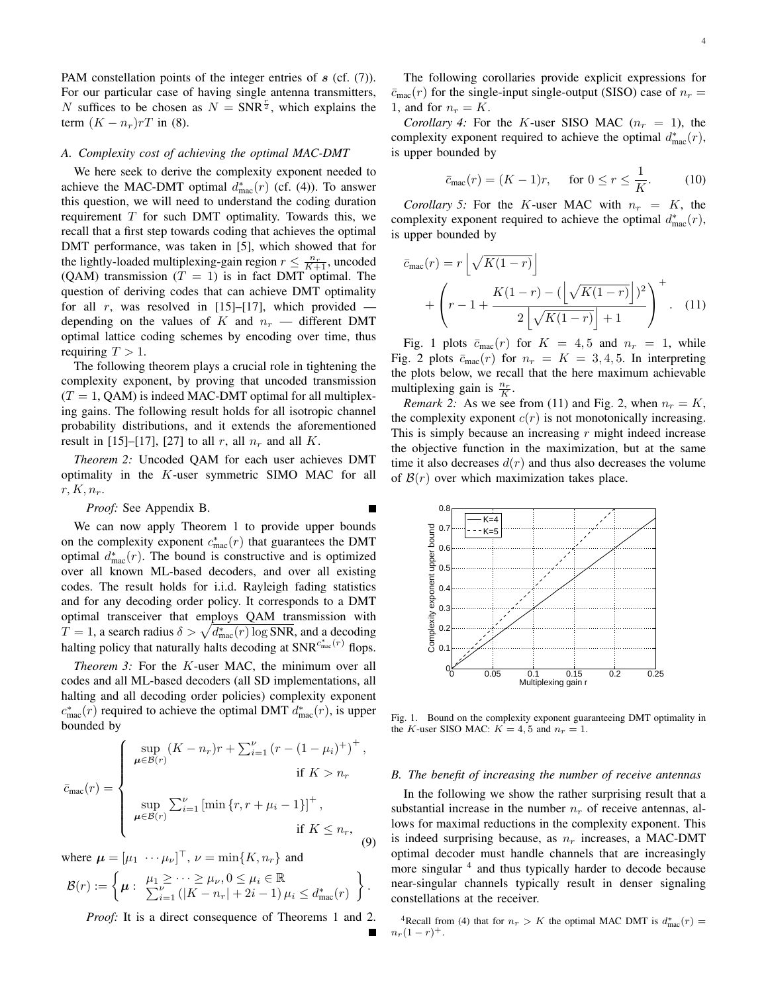PAM constellation points of the integer entries of s (cf. (7)). For our particular case of having single antenna transmitters, N suffices to be chosen as  $N = SNR^{\frac{r}{2}}$ , which explains the term  $(K - n<sub>r</sub>)rT$  in (8).

### *A. Complexity cost of achieving the optimal MAC-DMT*

We here seek to derive the complexity exponent needed to achieve the MAC-DMT optimal  $d_{\text{mac}}^*(r)$  (cf. (4)). To answer this question, we will need to understand the coding duration requirement  $T$  for such DMT optimality. Towards this, we recall that a first step towards coding that achieves the optimal DMT performance, was taken in [5], which showed that for the lightly-loaded multiplexing-gain region  $r \leq \frac{n_r}{K+1}$ , uncoded (QAM) transmission ( $T = 1$ ) is in fact DMT optimal. The question of deriving codes that can achieve DMT optimality for all r, was resolved in [15]–[17], which provided depending on the values of K and  $n_r$  — different DMT optimal lattice coding schemes by encoding over time, thus requiring  $T > 1$ .

The following theorem plays a crucial role in tightening the complexity exponent, by proving that uncoded transmission  $(T = 1, QAM)$  is indeed MAC-DMT optimal for all multiplexing gains. The following result holds for all isotropic channel probability distributions, and it extends the aforementioned result in [15]–[17], [27] to all r, all  $n_r$  and all K.

*Theorem 2:* Uncoded QAM for each user achieves DMT optimality in the K-user symmetric SIMO MAC for all  $r, K, n_r$ .

*Proof:* See Appendix B.

We can now apply Theorem 1 to provide upper bounds on the complexity exponent  $c_{\text{mac}}^*(r)$  that guarantees the DMT optimal  $d_{\text{mac}}^*(r)$ . The bound is constructive and is optimized over all known ML-based decoders, and over all existing codes. The result holds for i.i.d. Rayleigh fading statistics and for any decoding order policy. It corresponds to a DMT optimal transceiver that employs QAM transmission with  $T = 1$ , a search radius  $\delta > \sqrt{d_{\text{mac}}^*(r) \log \text{SNR}}$ , and a decoding halting policy that naturally halts decoding at  $\text{SNR}^{c_{\text{mac}}^*(r)}$  flops.

*Theorem 3:* For the K-user MAC, the minimum over all codes and all ML-based decoders (all SD implementations, all halting and all decoding order policies) complexity exponent  $c_{\text{mac}}^*(r)$  required to achieve the optimal DMT  $d_{\text{mac}}^*(r)$ , is upper bounded by

$$
\bar{c}_{\max}(r) = \begin{cases}\n\sup_{\mu \in \mathcal{B}(r)} (K - n_r)r + \sum_{i=1}^{\nu} (r - (1 - \mu_i)^+)^\top, & \text{if } K > n_r \\
\sup_{\mu \in \mathcal{B}(r)} \sum_{i=1}^{\nu} \left[ \min \{r, r + \mu_i - 1\} \right]^\top, & \text{if } K \le n_r,\n\end{cases} (9)
$$

where  $\boldsymbol{\mu} = [\mu_1 \cdots \mu_{\nu}]^\top$ ,  $\nu = \min\{K, n_r\}$  and

$$
\mathcal{B}(r) := \left\{ \mu : \begin{array}{l} \mu_1 \geq \cdots \geq \mu_{\nu}, 0 \leq \mu_i \in \mathbb{R} \\ \sum_{i=1}^{\nu} (|K - n_r| + 2i - 1) \mu_i \leq d_{\text{mac}}^*(r) \end{array} \right\}.
$$

*Proof:* It is a direct consequence of Theorems 1 and 2.

The following corollaries provide explicit expressions for  $\bar{c}_{\text{mac}}(r)$  for the single-input single-output (SISO) case of  $n_r =$ 1, and for  $n_r = K$ .

*Corollary 4:* For the K-user SISO MAC  $(n_r = 1)$ , the complexity exponent required to achieve the optimal  $d_{\text{mac}}^*(r)$ , is upper bounded by

$$
\bar{c}_{\text{mac}}(r) = (K-1)r, \quad \text{for } 0 \le r \le \frac{1}{K}.\tag{10}
$$

*Corollary 5:* For the K-user MAC with  $n_r = K$ , the complexity exponent required to achieve the optimal  $d_{\text{mac}}^*(r)$ , is upper bounded by

$$
\bar{c}_{\text{mac}}(r) = r \left[ \sqrt{K(1-r)} \right] + \left( r - 1 + \frac{K(1-r) - (\left[ \sqrt{K(1-r)} \right])^2}{2 \left[ \sqrt{K(1-r)} \right] + 1} \right)^+ . \quad (11)
$$

Fig. 1 plots  $\bar{c}_{\text{mac}}(r)$  for  $K = 4, 5$  and  $n_r = 1$ , while Fig. 2 plots  $\bar{c}_{\text{mac}}(r)$  for  $n_r = K = 3, 4, 5$ . In interpreting the plots below, we recall that the here maximum achievable multiplexing gain is  $\frac{n_r}{K}$ .

*Remark 2:* As we see from (11) and Fig. 2, when  $n_r = K$ , the complexity exponent  $c(r)$  is not monotonically increasing. This is simply because an increasing  $r$  might indeed increase the objective function in the maximization, but at the same time it also decreases  $d(r)$  and thus also decreases the volume of  $\mathcal{B}(r)$  over which maximization takes place.



Fig. 1. Bound on the complexity exponent guaranteeing DMT optimality in the K-user SISO MAC:  $K = 4, 5$  and  $n_r = 1$ .

#### *B. The benefit of increasing the number of receive antennas*

In the following we show the rather surprising result that a substantial increase in the number  $n_r$  of receive antennas, allows for maximal reductions in the complexity exponent. This is indeed surprising because, as  $n_r$  increases, a MAC-DMT optimal decoder must handle channels that are increasingly more singular <sup>4</sup> and thus typically harder to decode because near-singular channels typically result in denser signaling constellations at the receiver.

<sup>4</sup>Recall from (4) that for  $n_r > K$  the optimal MAC DMT is  $d_{\text{mac}}^*(r) =$  $n_r(1-r)^+$ .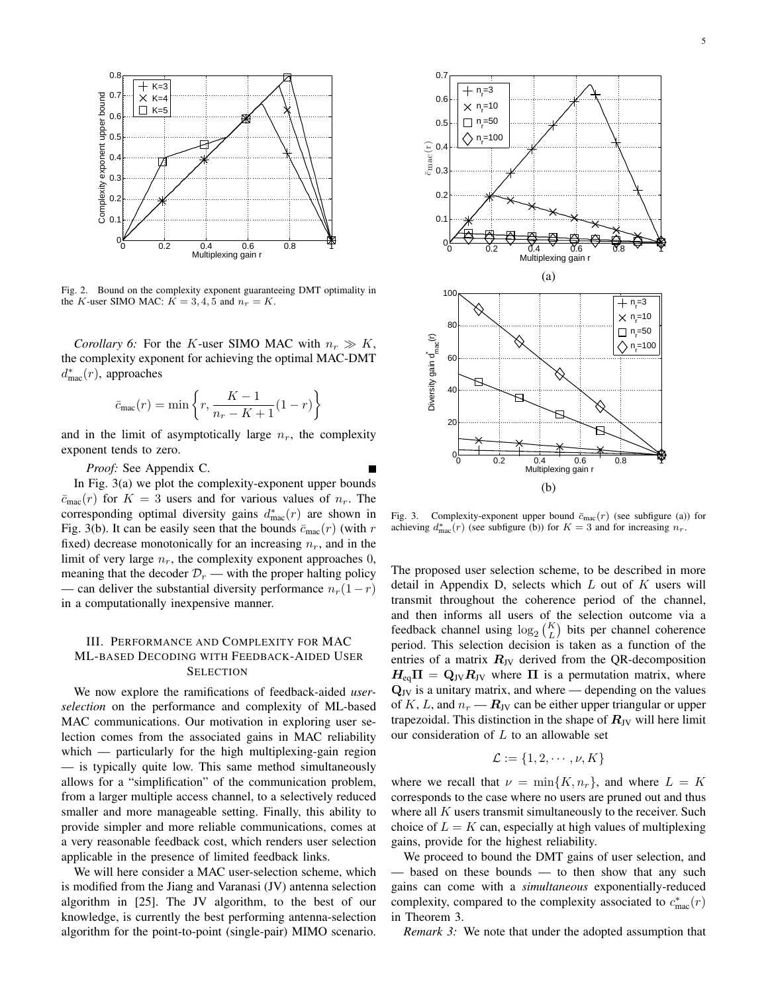

Fig. 2. Bound on the complexity exponent guaranteeing DMT optimality in the K-user SIMO MAC:  $K = 3, 4, 5$  and  $n_r = K$ .

*Corollary 6:* For the K-user SIMO MAC with  $n_r \gg K$ , the complexity exponent for achieving the optimal MAC-DMT  $d_{\text{mac}}^*(r)$ , approaches

$$
\bar{c}_{\text{mac}}(r) = \min\left\{r, \frac{K-1}{n_r - K + 1}(1-r)\right\}
$$

and in the limit of asymptotically large  $n_r$ , the complexity exponent tends to zero.

*Proof:* See Appendix C.

In Fig. 3(a) we plot the complexity-exponent upper bounds  $\bar{c}_{\text{mac}}(r)$  for  $K = 3$  users and for various values of  $n_r$ . The corresponding optimal diversity gains  $d_{\text{mac}}^*(r)$  are shown in Fig. 3(b). It can be easily seen that the bounds  $\bar{c}_{\text{mac}}(r)$  (with r fixed) decrease monotonically for an increasing  $n_r$ , and in the limit of very large  $n_r$ , the complexity exponent approaches 0, meaning that the decoder  $\mathcal{D}_r$  — with the proper halting policy — can deliver the substantial diversity performance  $n_r(1-r)$ in a computationally inexpensive manner.

# III. PERFORMANCE AND COMPLEXITY FOR MAC ML-BASED DECODING WITH FEEDBACK-AIDED USER **SELECTION**

We now explore the ramifications of feedback-aided *userselection* on the performance and complexity of ML-based MAC communications. Our motivation in exploring user selection comes from the associated gains in MAC reliability which — particularly for the high multiplexing-gain region — is typically quite low. This same method simultaneously allows for a "simplification" of the communication problem, from a larger multiple access channel, to a selectively reduced smaller and more manageable setting. Finally, this ability to provide simpler and more reliable communications, comes at a very reasonable feedback cost, which renders user selection applicable in the presence of limited feedback links.

We will here consider a MAC user-selection scheme, which is modified from the Jiang and Varanasi (JV) antenna selection algorithm in [25]. The JV algorithm, to the best of our knowledge, is currently the best performing antenna-selection algorithm for the point-to-point (single-pair) MIMO scenario.



Fig. 3. Complexity-exponent upper bound  $\bar{c}_{\text{mac}}(r)$  (see subfigure (a)) for achieving  $d_{\text{mac}}^*(r)$  (see subfigure (b)) for  $K = 3$  and for increasing  $n_r$ .

The proposed user selection scheme, to be described in more detail in Appendix D, selects which  $L$  out of  $K$  users will transmit throughout the coherence period of the channel, and then informs all users of the selection outcome via a feedback channel using  $log_2(\frac{K}{L})$  bits per channel coherence period. This selection decision is taken as a function of the entries of a matrix  $R_{\text{JV}}$  derived from the QR-decomposition  $H_{eq}\Pi = Q_{JV}R_{JV}$  where  $\Pi$  is a permutation matrix, where  $Q_{\text{JV}}$  is a unitary matrix, and where — depending on the values of K, L, and  $n_r - R_{\text{JV}}$  can be either upper triangular or upper trapezoidal. This distinction in the shape of  $R_{\text{JV}}$  will here limit our consideration of  $L$  to an allowable set

$$
\mathcal{L} := \{1, 2, \cdots, \nu, K\}
$$

where we recall that  $\nu = \min\{K, n_r\}$ , and where  $L = K$ corresponds to the case where no users are pruned out and thus where all  $K$  users transmit simultaneously to the receiver. Such choice of  $L = K$  can, especially at high values of multiplexing gains, provide for the highest reliability.

We proceed to bound the DMT gains of user selection, and — based on these bounds — to then show that any such gains can come with a *simultaneous* exponentially-reduced complexity, compared to the complexity associated to  $c_{\text{mac}}^*(r)$ in Theorem 3.

*Remark 3:* We note that under the adopted assumption that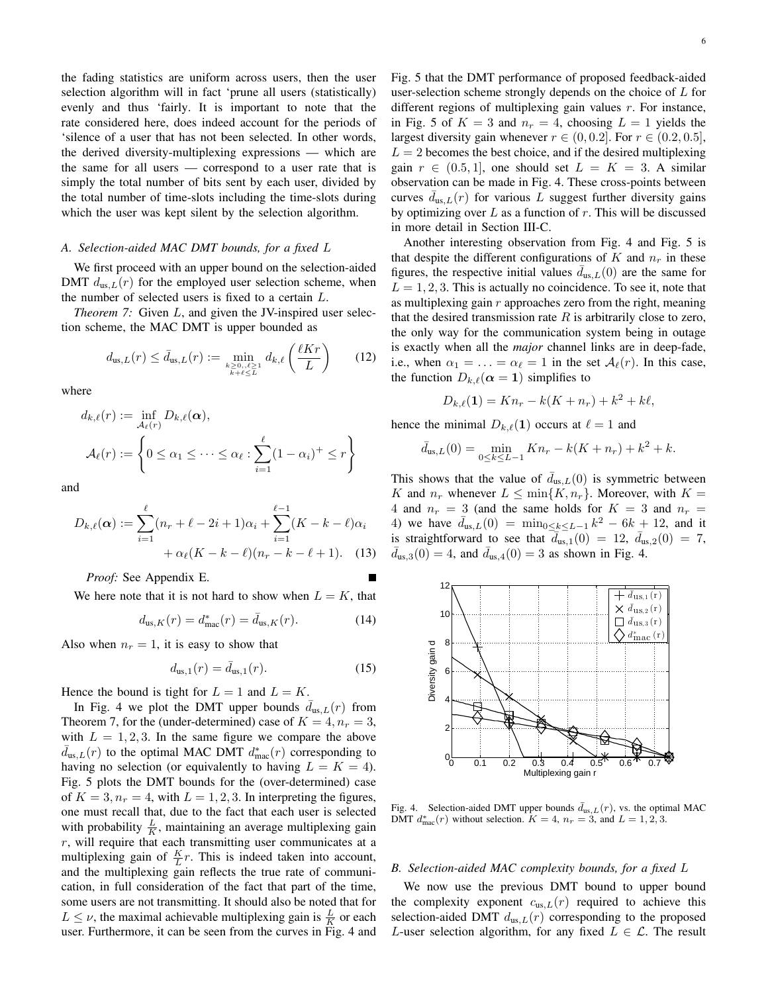the fading statistics are uniform across users, then the user selection algorithm will in fact 'prune all users (statistically) evenly and thus 'fairly. It is important to note that the rate considered here, does indeed account for the periods of 'silence of a user that has not been selected. In other words, the derived diversity-multiplexing expressions — which are the same for all users — correspond to a user rate that is simply the total number of bits sent by each user, divided by the total number of time-slots including the time-slots during which the user was kept silent by the selection algorithm.

## *A. Selection-aided MAC DMT bounds, for a fixed* L

We first proceed with an upper bound on the selection-aided DMT  $d_{us,L}(r)$  for the employed user selection scheme, when the number of selected users is fixed to a certain L.

*Theorem 7:* Given L, and given the JV-inspired user selection scheme, the MAC DMT is upper bounded as

$$
d_{\text{us},L}(r) \le \bar{d}_{\text{us},L}(r) := \min_{\substack{k \ge 0, \ell \le L \\ k+\ell \le L}} d_{k,\ell} \left(\frac{\ell K r}{L}\right) \tag{12}
$$

where

$$
d_{k,\ell}(r) := \inf_{\mathcal{A}_{\ell}(r)} D_{k,\ell}(\alpha),
$$
  

$$
\mathcal{A}_{\ell}(r) := \left\{ 0 \leq \alpha_1 \leq \cdots \leq \alpha_{\ell} : \sum_{i=1}^{\ell} (1 - \alpha_i)^+ \leq r \right\}
$$

and

$$
D_{k,\ell}(\alpha) := \sum_{i=1}^{\ell} (n_r + \ell - 2i + 1)\alpha_i + \sum_{i=1}^{\ell-1} (K - k - \ell)\alpha_i
$$
  
+  $\alpha_{\ell}(K - k - \ell)(n_r - k - \ell + 1).$  (13)

*Proof:* See Appendix E.

We here note that it is not hard to show when  $L = K$ , that

$$
d_{\text{us},K}(r) = d_{\text{mac}}^*(r) = \bar{d}_{\text{us},K}(r). \tag{14}
$$

Also when  $n_r = 1$ , it is easy to show that

$$
d_{\text{us},1}(r) = \bar{d}_{\text{us},1}(r). \tag{15}
$$

Hence the bound is tight for  $L = 1$  and  $L = K$ .

In Fig. 4 we plot the DMT upper bounds  $\bar{d}_{us,L}(r)$  from Theorem 7, for the (under-determined) case of  $K = 4, n_r = 3$ , with  $L = 1, 2, 3$ . In the same figure we compare the above  $\bar{d}_{\text{us},L}(r)$  to the optimal MAC DMT  $d_{\text{mac}}^*(r)$  corresponding to having no selection (or equivalently to having  $L = K = 4$ ). Fig. 5 plots the DMT bounds for the (over-determined) case of  $K = 3, n_r = 4$ , with  $L = 1, 2, 3$ . In interpreting the figures, one must recall that, due to the fact that each user is selected with probability  $\frac{L}{K}$ , maintaining an average multiplexing gain  $r$ , will require that each transmitting user communicates at a multiplexing gain of  $\frac{K}{L}r$ . This is indeed taken into account, and the multiplexing gain reflects the true rate of communication, in full consideration of the fact that part of the time, some users are not transmitting. It should also be noted that for  $L \leq \nu$ , the maximal achievable multiplexing gain is  $\frac{L}{K}$  or each user. Furthermore, it can be seen from the curves in Fig. 4 and Fig. 5 that the DMT performance of proposed feedback-aided user-selection scheme strongly depends on the choice of  $L$  for different regions of multiplexing gain values  $r$ . For instance, in Fig. 5 of  $K = 3$  and  $n_r = 4$ , choosing  $L = 1$  yields the largest diversity gain whenever  $r \in (0, 0.2]$ . For  $r \in (0.2, 0.5]$ ,  $L = 2$  becomes the best choice, and if the desired multiplexing gain  $r \in (0.5, 1]$ , one should set  $L = K = 3$ . A similar observation can be made in Fig. 4. These cross-points between curves  $d_{\text{us},L}(r)$  for various L suggest further diversity gains by optimizing over  $L$  as a function of  $r$ . This will be discussed in more detail in Section III-C.

Another interesting observation from Fig. 4 and Fig. 5 is that despite the different configurations of K and  $n_r$  in these figures, the respective initial values  $\bar{d}_{us,L}(0)$  are the same for  $L = 1, 2, 3$ . This is actually no coincidence. To see it, note that as multiplexing gain  $r$  approaches zero from the right, meaning that the desired transmission rate  $R$  is arbitrarily close to zero, the only way for the communication system being in outage is exactly when all the *major* channel links are in deep-fade, i.e., when  $\alpha_1 = \ldots = \alpha_\ell = 1$  in the set  $\mathcal{A}_\ell(r)$ . In this case, the function  $D_{k,\ell}(\alpha = 1)$  simplifies to

$$
D_{k,\ell}(1) = Kn_r - k(K + n_r) + k^2 + k\ell,
$$

hence the minimal  $D_{k,\ell}(1)$  occurs at  $\ell = 1$  and

$$
\bar{d}_{\text{us},L}(0) = \min_{0 \le k \le L-1} Kn_r - k(K+n_r) + k^2 + k.
$$

This shows that the value of  $\bar{d}_{us,L}(0)$  is symmetric between K and  $n_r$  whenever  $L \leq \min\{K, n_r\}$ . Moreover, with  $K =$ 4 and  $n_r = 3$  (and the same holds for  $K = 3$  and  $n_r =$ 4) we have  $\bar{d}_{us,L}(0) = \min_{0 \le k \le L-1} k^2 - 6k + 12$ , and it is straightforward to see that  $\overline{d}_{us,1}(0) = 12$ ,  $\overline{d}_{us,2}(0) = 7$ ,  $\bar{d}_{us,3}(0) = 4$ , and  $\bar{d}_{us,4}(0) = 3$  as shown in Fig. 4.



Fig. 4. Selection-aided DMT upper bounds  $\bar{d}_{us,L}(r)$ , vs. the optimal MAC DMT  $d_{\text{mac}}^*(r)$  without selection.  $K = 4$ ,  $n_r = 3$ , and  $L = 1, 2, 3$ .

## *B. Selection-aided MAC complexity bounds, for a fixed* L

We now use the previous DMT bound to upper bound the complexity exponent  $c_{us,L}(r)$  required to achieve this selection-aided DMT  $d_{us,L}(r)$  corresponding to the proposed L-user selection algorithm, for any fixed  $L \in \mathcal{L}$ . The result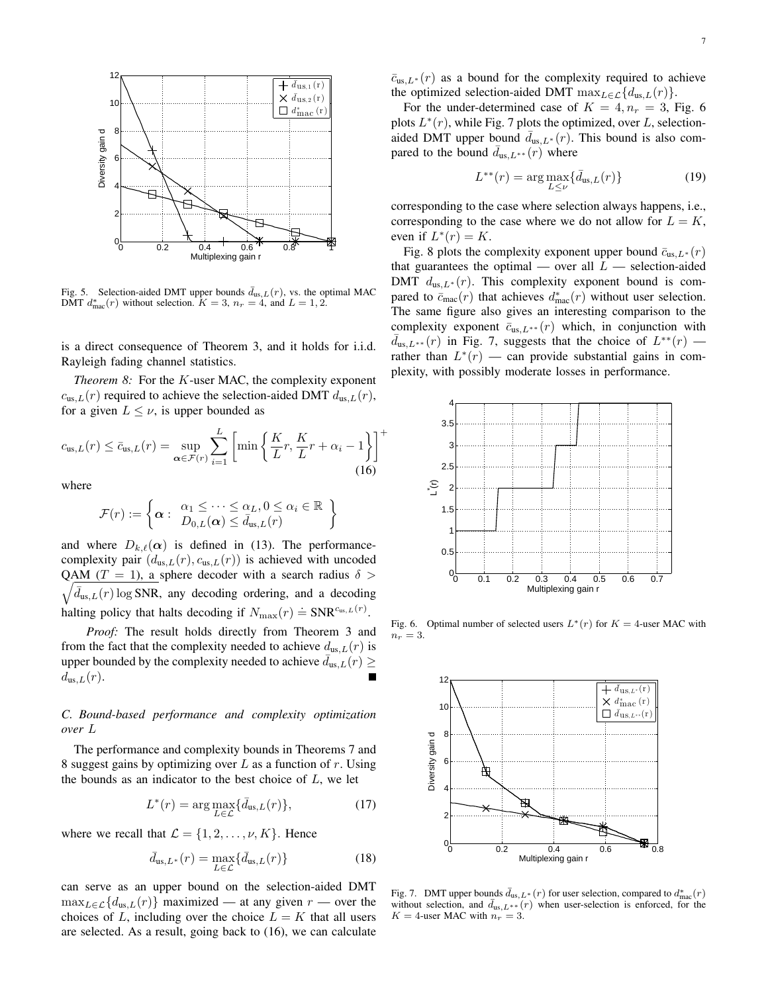

Fig. 5. Selection-aided DMT upper bounds  $\bar{d}_{us,L}(r)$ , vs. the optimal MAC DMT  $d_{\text{mac}}^*(r)$  without selection.  $K = 3$ ,  $n_r = 4$ , and  $L = 1, 2$ .

is a direct consequence of Theorem 3, and it holds for i.i.d. Rayleigh fading channel statistics.

*Theorem 8:* For the K-user MAC, the complexity exponent  $c_{us,L}(r)$  required to achieve the selection-aided DMT  $d_{us,L}(r)$ , for a given  $L \leq \nu$ , is upper bounded as

$$
c_{\text{us},L}(r) \le \bar{c}_{\text{us},L}(r) = \sup_{\alpha \in \mathcal{F}(r)} \sum_{i=1}^{L} \left[ \min \left\{ \frac{K}{L} r, \frac{K}{L} r + \alpha_i - 1 \right\} \right]^+(16)
$$

where

$$
\mathcal{F}(r) := \left\{ \boldsymbol{\alpha} : \begin{array}{l} \alpha_1 \leq \cdots \leq \alpha_L, 0 \leq \alpha_i \in \mathbb{R} \\ D_{0,L}(\boldsymbol{\alpha}) \leq \bar{d}_{us,L}(r) \end{array} \right\}
$$

and where  $D_{k,\ell}(\alpha)$  is defined in (13). The performancecomplexity pair  $(d_{us,L}(r), c_{us,L}(r))$  is achieved with uncoded QAM (T = 1), a sphere decoder with a search radius  $\delta$  >  $\sqrt{\bar{d}_{us,L}(r) \log SNR}$ , any decoding ordering, and a decoding halting policy that halts decoding if  $N_{\text{max}}(r) \doteq \text{SNR}^{c_{\text{us},L}(r)}$ .

*Proof:* The result holds directly from Theorem 3 and from the fact that the complexity needed to achieve  $d_{us,L}(r)$  is upper bounded by the complexity needed to achieve  $\bar{d}_{us,L}(r) \geq$  $d_{\text{us},L}(r)$ .

# *C. Bound-based performance and complexity optimization over* L

The performance and complexity bounds in Theorems 7 and 8 suggest gains by optimizing over  $L$  as a function of  $r$ . Using the bounds as an indicator to the best choice of  $L$ , we let

$$
L^*(r) = \arg \max_{L \in \mathcal{L}} \{ \bar{d}_{\text{us},L}(r) \},\tag{17}
$$

where we recall that  $\mathcal{L} = \{1, 2, \dots, \nu, K\}$ . Hence

$$
\bar{d}_{\text{us},L^*}(r) = \max_{L \in \mathcal{L}} \{ \bar{d}_{\text{us},L}(r) \}
$$
\n(18)

can serve as an upper bound on the selection-aided DMT  $\max_{L \in \mathcal{L}} \{d_{us,L}(r)\}\$  maximized — at any given  $r$  — over the choices of L, including over the choice  $L = K$  that all users are selected. As a result, going back to (16), we can calculate

 $\bar{c}_{us,L^*}(r)$  as a bound for the complexity required to achieve the optimized selection-aided DMT  $\max_{L \in \mathcal{L}} \{d_{us,L}(r)\}.$ 

For the under-determined case of  $K = 4, n_r = 3$ , Fig. 6 plots  $L^*(r)$ , while Fig. 7 plots the optimized, over L, selectionaided DMT upper bound  $\bar{d}_{us,L^*}(r)$ . This bound is also compared to the bound  $\bar{d}_{us,L^{**}}(r)$  where

$$
L^{**}(r) = \arg\max_{L \le \nu} \{ \bar{d}_{\text{us},L}(r) \}
$$
(19)

corresponding to the case where selection always happens, i.e., corresponding to the case where we do not allow for  $L = K$ , even if  $L^*(r) = K$ .

Fig. 8 plots the complexity exponent upper bound  $\bar{c}_{us,L^*}(r)$ that guarantees the optimal — over all  $L$  — selection-aided DMT  $d_{us,L^*}(r)$ . This complexity exponent bound is compared to  $\bar{c}_{\text{mac}}(r)$  that achieves  $d_{\text{mac}}^*(r)$  without user selection. The same figure also gives an interesting comparison to the complexity exponent  $\bar{c}_{us,L^{**}}(r)$  which, in conjunction with  $\bar{d}_{us,L^{**}}(r)$  in Fig. 7, suggests that the choice of  $L^{**}(r)$  rather than  $L^*(r)$  — can provide substantial gains in complexity, with possibly moderate losses in performance.



Fig. 6. Optimal number of selected users  $L^*(r)$  for  $K = 4$ -user MAC with  $n_r = 3$ .



Fig. 7. DMT upper bounds  $\bar{d}_{\text{us},L^*}(r)$  for user selection, compared to  $d_{\text{mac}}^*(r)$ without selection, and  $\bar{d}_{us,L}$ \*\* $(r)$  when user-selection is enforced, for the  $K = 4$ -user MAC with  $n_r = 3$ .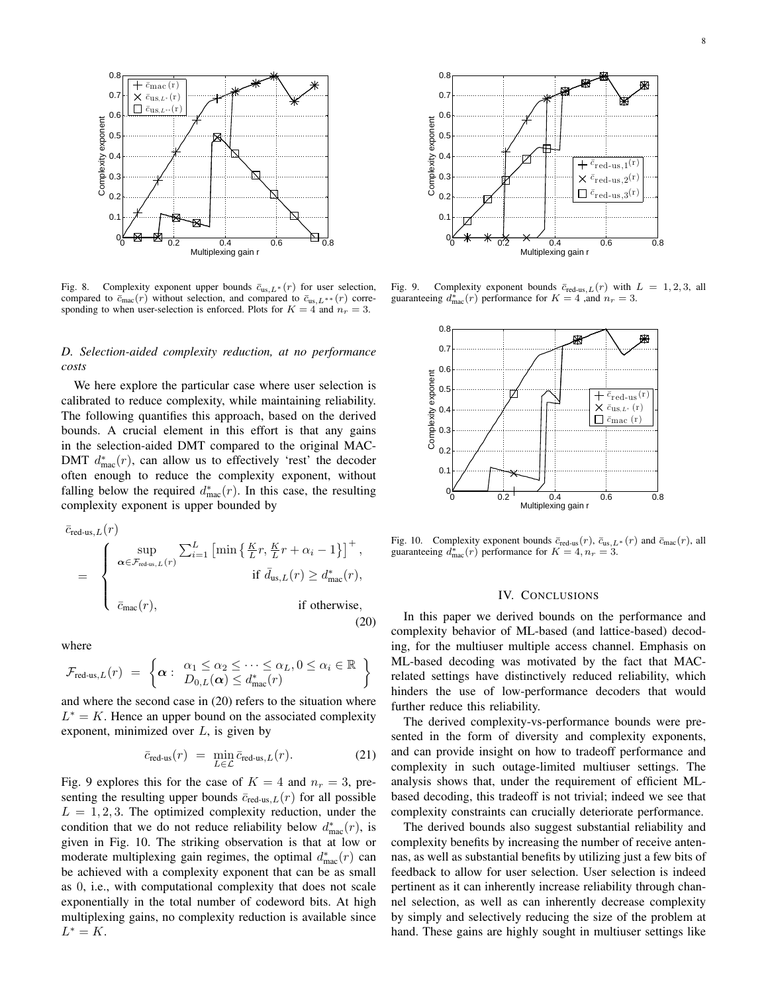

Fig. 8. Complexity exponent upper bounds  $\bar{c}_{us,L}$ \* (r) for user selection, compared to  $\bar{c}_{\text{mac}}(r)$  without selection, and compared to  $\bar{c}_{\text{us},L^{**}}(r)$  corresponding to when user-selection is enforced. Plots for  $K = 4$  and  $n_r = 3$ .

# *D. Selection-aided complexity reduction, at no performance costs*

We here explore the particular case where user selection is calibrated to reduce complexity, while maintaining reliability. The following quantifies this approach, based on the derived bounds. A crucial element in this effort is that any gains in the selection-aided DMT compared to the original MAC-DMT  $d_{\text{mac}}^*(r)$ , can allow us to effectively 'rest' the decoder often enough to reduce the complexity exponent, without falling below the required  $d_{\text{mac}}^*(r)$ . In this case, the resulting complexity exponent is upper bounded by

$$
\bar{c}_{\text{red-us},L}(r)
$$
\n
$$
= \begin{cases}\n\sup_{\alpha \in \mathcal{F}_{\text{red-us},L}(r)} \sum_{i=1}^{L} \left[ \min \left\{ \frac{K}{L} r, \frac{K}{L} r + \alpha_i - 1 \right\} \right]^+, \\
\text{if } \bar{d}_{\text{us},L}(r) \ge d_{\text{mac}}^*(r), \\
\bar{c}_{\text{mac}}(r),\n\end{cases}
$$
\nif otherwise,\n(20)

where

$$
\mathcal{F}_{\text{red-us},L}(r) = \left\{ \boldsymbol{\alpha} : \begin{array}{l} \alpha_1 \leq \alpha_2 \leq \cdots \leq \alpha_L, 0 \leq \alpha_i \in \mathbb{R} \\ D_{0,L}(\boldsymbol{\alpha}) \leq d_{\text{mac}}^*(r) \end{array} \right\}
$$

and where the second case in (20) refers to the situation where  $L^* = K$ . Hence an upper bound on the associated complexity exponent, minimized over  $L$ , is given by

$$
\bar{c}_{\text{red-us}}(r) = \min_{L \in \mathcal{L}} \bar{c}_{\text{red-us},L}(r). \tag{21}
$$

Fig. 9 explores this for the case of  $K = 4$  and  $n_r = 3$ , presenting the resulting upper bounds  $\bar{c}_{\text{red-us},L}(r)$  for all possible  $L = 1, 2, 3$ . The optimized complexity reduction, under the condition that we do not reduce reliability below  $d_{\text{mac}}^*(r)$ , is given in Fig. 10. The striking observation is that at low or moderate multiplexing gain regimes, the optimal  $d_{\text{mac}}^*(r)$  can be achieved with a complexity exponent that can be as small as 0, i.e., with computational complexity that does not scale exponentially in the total number of codeword bits. At high multiplexing gains, no complexity reduction is available since  $L^* = K$ .



Fig. 9. Complexity exponent bounds  $\bar{c}_{\text{red-us},L}(r)$  with  $L = 1, 2, 3$ , all guaranteeing  $d_{\text{mac}}^*(r)$  performance for  $K = 4$  , and  $n_r = 3$ .



Fig. 10. Complexity exponent bounds  $\bar{c}_{\text{red-us}}(r)$ ,  $\bar{c}_{\text{us},L^*}(r)$  and  $\bar{c}_{\text{mac}}(r)$ , all guaranteeing  $d_{\text{mac}}^*(r)$  performance for  $K = 4, n_r = 3$ .

#### IV. CONCLUSIONS

In this paper we derived bounds on the performance and complexity behavior of ML-based (and lattice-based) decoding, for the multiuser multiple access channel. Emphasis on ML-based decoding was motivated by the fact that MACrelated settings have distinctively reduced reliability, which hinders the use of low-performance decoders that would further reduce this reliability.

The derived complexity-vs-performance bounds were presented in the form of diversity and complexity exponents, and can provide insight on how to tradeoff performance and complexity in such outage-limited multiuser settings. The analysis shows that, under the requirement of efficient MLbased decoding, this tradeoff is not trivial; indeed we see that complexity constraints can crucially deteriorate performance.

The derived bounds also suggest substantial reliability and complexity benefits by increasing the number of receive antennas, as well as substantial benefits by utilizing just a few bits of feedback to allow for user selection. User selection is indeed pertinent as it can inherently increase reliability through channel selection, as well as can inherently decrease complexity by simply and selectively reducing the size of the problem at hand. These gains are highly sought in multiuser settings like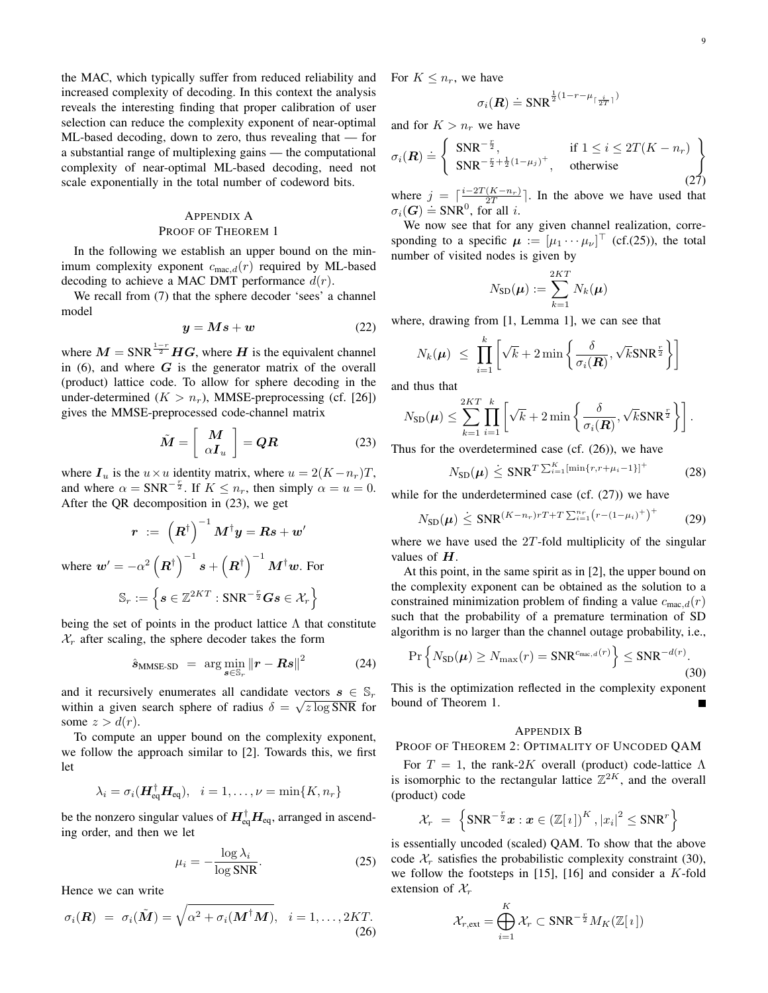the MAC, which typically suffer from reduced reliability and increased complexity of decoding. In this context the analysis reveals the interesting finding that proper calibration of user selection can reduce the complexity exponent of near-optimal ML-based decoding, down to zero, thus revealing that — for a substantial range of multiplexing gains — the computational complexity of near-optimal ML-based decoding, need not scale exponentially in the total number of codeword bits.

# APPENDIX A PROOF OF THEOREM 1

In the following we establish an upper bound on the minimum complexity exponent  $c_{\text{mac},d}(r)$  required by ML-based decoding to achieve a MAC DMT performance  $d(r)$ .

We recall from (7) that the sphere decoder 'sees' a channel model

$$
y = Ms + w \tag{22}
$$

where  $M = SNR^{\frac{1-r}{2}}HG$ , where H is the equivalent channel in  $(6)$ , and where  $G$  is the generator matrix of the overall (product) lattice code. To allow for sphere decoding in the under-determined  $(K > n_r)$ , MMSE-preprocessing (cf. [26]) gives the MMSE-preprocessed code-channel matrix

$$
\tilde{M} = \left[ \begin{array}{c} M \\ \alpha I_u \end{array} \right] = QR \tag{23}
$$

where  $I_u$  is the  $u \times u$  identity matrix, where  $u = 2(K - n_r)T$ , and where  $\alpha = \text{SNR}^{-\frac{r}{2}}$ . If  $K \le n_r$ , then simply  $\alpha = u = 0$ . After the QR decomposition in (23), we get

$$
\boldsymbol{r} \ := \ \left( \boldsymbol{R}^{\dagger} \right)^{-1} \boldsymbol{M}^{\dagger} \boldsymbol{y} = \boldsymbol{R} \boldsymbol{s} + \boldsymbol{w}'
$$
\n
$$
\text{where } \boldsymbol{w}' = -\alpha^2 \left( \boldsymbol{R}^{\dagger} \right)^{-1} \boldsymbol{s} + \left( \boldsymbol{R}^{\dagger} \right)^{-1} \boldsymbol{M}^{\dagger} \boldsymbol{w}. \text{ For}
$$
\n
$$
\mathbb{S}_r := \left\{ \boldsymbol{s} \in \mathbb{Z}^{2KT} : \text{SNR}^{-\frac{r}{2}} \boldsymbol{G} \boldsymbol{s} \in \mathcal{X}_r \right\}
$$

being the set of points in the product lattice  $\Lambda$  that constitute  $X_r$  after scaling, the sphere decoder takes the form

$$
\hat{\mathbf{s}}_{\text{MMSE-SD}} = \arg\min_{\mathbf{s}\in\mathbb{S}_r} \|\mathbf{r} - \mathbf{R}\mathbf{s}\|^2 \tag{24}
$$

and it recursively enumerates all candidate vectors  $s \in \mathbb{S}_r$ within a given search sphere of radius  $\delta = \sqrt{z \log SNR}$  for some  $z > d(r)$ .

To compute an upper bound on the complexity exponent, we follow the approach similar to [2]. Towards this, we first let

$$
\lambda_i = \sigma_i(\boldsymbol{H}_{\text{eq}}^\dagger \boldsymbol{H}_{\text{eq}}), \quad i = 1, \dots, \nu = \min\{K, n_r\}
$$

be the nonzero singular values of  $\boldsymbol{H}_{\text{eq}}^\dagger \boldsymbol{H}_{\text{eq}}$ , arranged in ascending order, and then we let

$$
\mu_i = -\frac{\log \lambda_i}{\log \text{SNR}}.\tag{25}
$$

Hence we can write

$$
\sigma_i(\boldsymbol{R}) = \sigma_i(\tilde{\boldsymbol{M}}) = \sqrt{\alpha^2 + \sigma_i(\boldsymbol{M}^\dagger \boldsymbol{M})}, \quad i = 1, \dots, 2KT.
$$
\n(26)

For  $K \leq n_r$ , we have

$$
\sigma_i(\boldsymbol{R}) \doteq \text{SNR}^{\frac{1}{2}(1-r-\mu_{\lceil \frac{i}{2T} \rceil})}
$$

and for  $K > n_r$  we have

$$
\sigma_i(\mathbf{R}) \doteq \left\{ \begin{array}{ll} \text{SNR}^{-\frac{r}{2}}, & \text{if } 1 \leq i \leq 2T(K - n_r) \\ \text{SNR}^{-\frac{r}{2} + \frac{1}{2}(1 - \mu_j)^+}, & \text{otherwise} \end{array} \right\} \tag{27}
$$

where  $j = \lceil \frac{i-2T(K-n_r)}{2T} \rceil$ . In the above we have used that  $\sigma_i(G) \doteq \text{SNR}^0$ , for all *i*.

We now see that for any given channel realization, corresponding to a specific  $\mu := [\mu_1 \cdots \mu_\nu]^\top$  (cf.(25)), the total number of visited nodes is given by

$$
N_{\textrm{SD}}(\boldsymbol{\mu}) := \sum_{k=1}^{2KT} N_k(\boldsymbol{\mu})
$$

where, drawing from [1, Lemma 1], we can see that

$$
N_k(\boldsymbol{\mu}) \ \leq \ \prod_{i=1}^k \left[ \sqrt{k} + 2 \min \left\{ \frac{\delta}{\sigma_i(\boldsymbol{R})}, \sqrt{k} \text{SNR}^{\frac{r}{2}} \right\} \right]
$$

and thus that

$$
N_{\text{SD}}(\boldsymbol{\mu}) \leq \sum_{k=1}^{2KT} \prod_{i=1}^{k} \left[ \sqrt{k} + 2 \min \left\{ \frac{\delta}{\sigma_i(\boldsymbol{R})}, \sqrt{k} \text{SNR}^{\frac{r}{2}} \right\} \right].
$$

Thus for the overdetermined case (cf. (26)), we have

$$
N_{\text{SD}}(\boldsymbol{\mu}) \leq \text{SNR}^T \Sigma_{i=1}^K [\min\{r, r + \mu_i - 1\}]^+ \tag{28}
$$

while for the underdetermined case (cf. (27)) we have

$$
N_{\text{SD}}(\mu) \leq \text{SNR}^{(K-n_r)r} T + T \sum_{i=1}^{n_r} (r - (1 - \mu_i)^+)^\dagger \tag{29}
$$

where we have used the  $2T$ -fold multiplicity of the singular values of  $H$ .

At this point, in the same spirit as in [2], the upper bound on the complexity exponent can be obtained as the solution to a constrained minimization problem of finding a value  $c_{\text{mac}}(r)$ such that the probability of a premature termination of SD algorithm is no larger than the channel outage probability, i.e.,

$$
\Pr\left\{N_{\text{SD}}(\boldsymbol{\mu}) \ge N_{\text{max}}(r) = \text{SNR}^{c_{\text{max},d}(r)}\right\} \le \text{SNR}^{-d(r)}.
$$
\n(30)

This is the optimization reflected in the complexity exponent bound of Theorem 1.

#### APPENDIX B

#### PROOF OF THEOREM 2: OPTIMALITY OF UNCODED QAM

For  $T = 1$ , the rank-2K overall (product) code-lattice Λ is isomorphic to the rectangular lattice  $\mathbb{Z}^{2K}$ , and the overall (product) code

$$
\mathcal{X}_r = \left\{ \text{SNR}^{-\frac{r}{2}} x : x \in (\mathbb{Z}[i])^K, |x_i|^2 \leq \text{SNR}^r \right\}
$$

is essentially uncoded (scaled) QAM. To show that the above code  $\mathcal{X}_r$  satisfies the probabilistic complexity constraint (30), we follow the footsteps in [15], [16] and consider a  $K$ -fold extension of  $\mathcal{X}_r$ 

$$
\mathcal{X}_{r,\text{ext}} = \bigoplus_{i=1}^K \mathcal{X}_r \subset \text{SNR}^{-\frac{r}{2}} M_K(\mathbb{Z}[i])
$$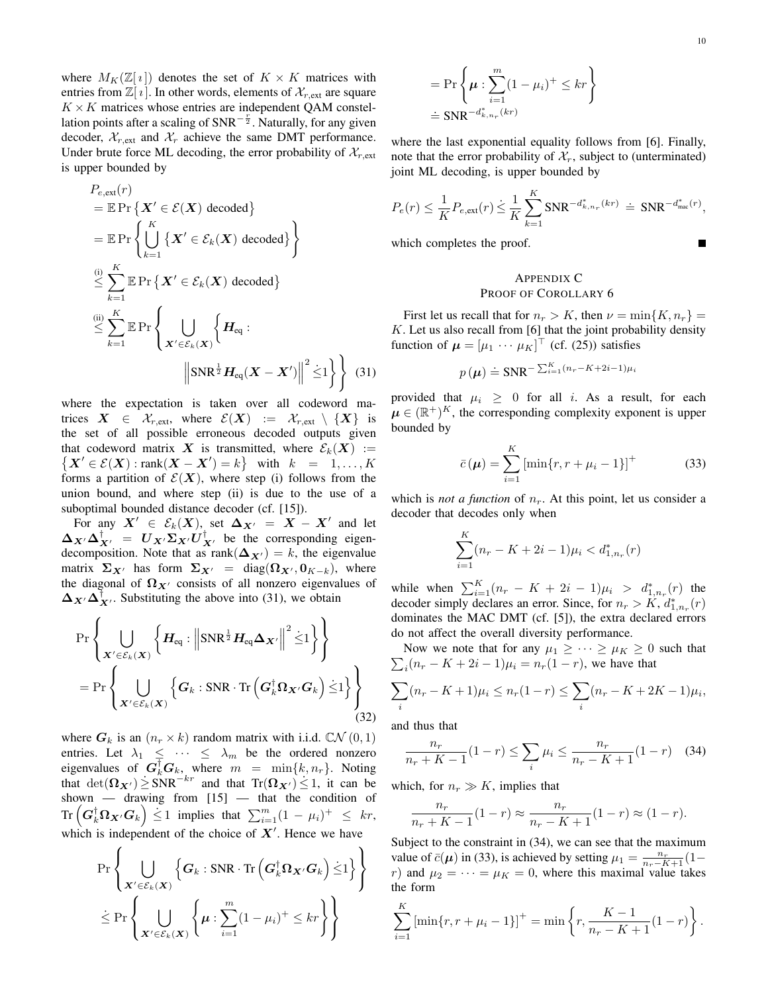where  $M_K(\mathbb{Z}[i])$  denotes the set of  $K \times K$  matrices with entries from  $\mathbb{Z}[i]$ . In other words, elements of  $\mathcal{X}_{r,ext}$  are square  $K \times K$  matrices whose entries are independent QAM constellation points after a scaling of  $SNR^{-\frac{r}{2}}$ . Naturally, for any given decoder,  $\mathcal{X}_{r,ext}$  and  $\mathcal{X}_r$  achieve the same DMT performance. Under brute force ML decoding, the error probability of  $\mathcal{X}_{r,ext}$ is upper bounded by

$$
P_{e, \text{ext}}(r)
$$
\n
$$
= \mathbb{E} \Pr \left\{ \mathbf{X}' \in \mathcal{E}(\mathbf{X}) \text{ decoded} \right\}
$$
\n
$$
= \mathbb{E} \Pr \left\{ \bigcup_{k=1}^{K} \left\{ \mathbf{X}' \in \mathcal{E}_k(\mathbf{X}) \text{ decoded} \right\} \right\}
$$
\n
$$
\stackrel{\text{(i)}{=} \sum_{k=1}^{K} \mathbb{E} \Pr \left\{ \mathbf{X}' \in \mathcal{E}_k(\mathbf{X}) \text{ decoded} \right\}
$$
\n
$$
\stackrel{\text{(ii)}{=} \sum_{k=1}^{K} \mathbb{E} \Pr \left\{ \bigcup_{\mathbf{X}' \in \mathcal{E}_k(\mathbf{X})} \left\{ \mathbf{H}_{eq} : \right\}
$$
\n
$$
\left\| \text{SNR}^{\frac{1}{2}} \mathbf{H}_{eq}(\mathbf{X} - \mathbf{X}') \right\|^2 \stackrel{\text{(i)}}{\leq} 1 \right\} \right\} \quad (31)
$$

where the expectation is taken over all codeword matrices  $X \in \mathcal{X}_{r,ext}$ , where  $\mathcal{E}(X) := \mathcal{X}_{r,ext} \setminus \{X\}$  is the set of all possible erroneous decoded outputs given that codeword matrix X is transmitted, where  $\mathcal{E}_k(X) :=$  $\{X' \in \mathcal{E}(X) : \text{rank}(\mathbf{X} - \mathbf{X}') = k\}$  with  $k = 1, ..., K$ forms a partition of  $\mathcal{E}(X)$ , where step (i) follows from the union bound, and where step (ii) is due to the use of a suboptimal bounded distance decoder (cf. [15]).

For any  $X' \in \mathcal{E}_k(X)$ , set  $\Delta_{X'} = X - X'$  and let  $\Delta_{X'}\Delta_{X'}^{\dagger} = U_{X'}\Sigma_{X'}U_{X'}^{\dagger}$  be the corresponding eigendecomposition. Note that as rank $(\Delta_{\mathbf{X}'} ) = k$ , the eigenvalue matrix  $\Sigma_{X'}$  has form  $\Sigma_{X'} = \text{diag}(\Omega_{X'}, 0_{K-k})$ , where the diagonal of  $\Omega_{X'}$  consists of all nonzero eigenvalues of  $\Delta_{X'}\Delta_{X'}^{\dagger}$ . Substituting the above into (31), we obtain

$$
\Pr\left\{\bigcup_{\substack{\boldsymbol{X}'\in\mathcal{E}_k(\boldsymbol{X})}}\left\{\boldsymbol{H}_{\mathrm{eq}}:\left\|\text{SNR}^{\frac{1}{2}}\boldsymbol{H}_{\mathrm{eq}}\boldsymbol{\Delta}_{\boldsymbol{X}'}\right\|^2\dot{\leq}1\right\}\right\}
$$
\n
$$
=\Pr\left\{\bigcup_{\substack{\boldsymbol{X}'\in\mathcal{E}_k(\boldsymbol{X})}}\left\{\boldsymbol{G}_k:\text{SNR}\cdot\text{Tr}\left(\boldsymbol{G}_k^{\dagger}\boldsymbol{\Omega}_{\boldsymbol{X}'}\boldsymbol{G}_k\right)\dot{\leq}1\right\}\right\}
$$
\n(32)

where  $G_k$  is an  $(n_r \times k)$  random matrix with i.i.d.  $\mathbb{C}N(0,1)$ entries. Let  $\lambda_1 \leq \cdots \leq \lambda_m$  be the ordered nonzero eigenvalues of  $G_k^{\dagger} G_k$ , where  $m = \min\{k, n_r\}$ . Noting that  $\det(\mathbf{\Omega}_{\mathbf{X}'} ) \ge \text{SNR}^{-kr}$  and that  $\text{Tr}(\mathbf{\Omega}_{\mathbf{X}'} ) \le 1$ , it can be shown — drawing from [15] — that the condition of  $\text{Tr}\left(\boldsymbol{G}_k^\dagger\boldsymbol{\Omega}_{\boldsymbol{X}'}\boldsymbol{G}_k\right)\leq 1\ \ \text{implies\ \ that\ \ }\sum_{i=1}^m(1\,-\,\mu_i)^+\ \ \leq\ \ kr,$ which is independent of the choice of  $X'$ . Hence we have

$$
\Pr\left\{\bigcup_{\substack{\mathbf{X}'\in\mathcal{E}_k(\mathbf{X})}}\left\{\mathbf{G}_k:\text{SNR}\cdot\text{Tr}\left(\mathbf{G}_k^\dagger\mathbf{\Omega}_{\mathbf{X}'}\mathbf{G}_k\right)\dot{\leq}1\right\}\right\}
$$
  

$$
\leq \Pr\left\{\bigcup_{\substack{\mathbf{X}'\in\mathcal{E}_k(\mathbf{X})}}\left\{\boldsymbol{\mu}:\sum_{i=1}^m(1-\mu_i)^+\leq kr\right\}\right\}
$$

$$
= \Pr\left\{\mu : \sum_{i=1}^{m} (1 - \mu_i)^+ \le kr \right\}
$$

$$
\doteq \text{SNR}^{-d_{k,n_r}^*(kr)}
$$

where the last exponential equality follows from [6]. Finally, note that the error probability of  $\mathcal{X}_r$ , subject to (unterminated) joint ML decoding, is upper bounded by

$$
P_e(r) \leq \frac{1}{K} P_{e,ext}(r) \leq \frac{1}{K} \sum_{k=1}^K \text{SNR}^{-d^*_{k,n_r}(kr)} \doteq \text{SNR}^{-d^*_{\text{mac}}(r)},
$$

which completes the proof.

## APPENDIX C PROOF OF COROLLARY 6

First let us recall that for  $n_r > K$ , then  $\nu = \min\{K, n_r\}$  $K$ . Let us also recall from [6] that the joint probability density function of  $\boldsymbol{\mu} = [\mu_1 \cdots \mu_K]^\top$  (cf. (25)) satisfies

$$
p(\boldsymbol{\mu}) \doteq \text{SNR}^{-\sum_{i=1}^{K} (n_r - K + 2i - 1)\mu_i}
$$

provided that  $\mu_i \geq 0$  for all i. As a result, for each  $\boldsymbol{\mu} \in (\mathbb{R}^+)^K$ , the corresponding complexity exponent is upper bounded by

$$
\bar{c}(\mu) = \sum_{i=1}^{K} \left[ \min\{r, r + \mu_i - 1\} \right]^+ \tag{33}
$$

which is *not a function* of  $n_r$ . At this point, let us consider a decoder that decodes only when

$$
\sum_{i=1}^{K} (n_r - K + 2i - 1)\mu_i < d_{1,n_r}^*(r)
$$

while when  $\sum_{i=1}^{K} (n_r - K + 2i - 1)\mu_i > d_{1,n_r}^*(r)$  the decoder simply declares an error. Since, for  $n_r > K$ ,  $d_{1,n_r}^*(r)$ dominates the MAC DMT (cf. [5]), the extra declared errors do not affect the overall diversity performance.

 $\sum_{i} (n_r - K + 2i - 1)\mu_i = n_r(1 - r)$ , we have that Now we note that for any  $\mu_1 \geq \cdots \geq \mu_K \geq 0$  such that

$$
\sum_{i} (n_r - K + 1)\mu_i \le n_r(1 - r) \le \sum_{i} (n_r - K + 2K - 1)\mu_i,
$$

and thus that

$$
\frac{n_r}{n_r + K - 1}(1 - r) \le \sum_{i} \mu_i \le \frac{n_r}{n_r - K + 1}(1 - r) \quad (34)
$$

which, for  $n_r \gg K$ , implies that

$$
\frac{n_r}{n_r + K - 1}(1 - r) \approx \frac{n_r}{n_r - K + 1}(1 - r) \approx (1 - r).
$$

Subject to the constraint in  $(34)$ , we can see that the maximum value of  $\bar{c}(\mu)$  in (33), is achieved by setting  $\mu_1 = \frac{n_r}{n_r - K + 1} (1$ r) and  $\mu_2 = \cdots = \mu_K = 0$ , where this maximal value takes the form

$$
\sum_{i=1}^{K} \left[ \min\{r, r + \mu_i - 1\} \right]^+ = \min\left\{ r, \frac{K - 1}{n_r - K + 1} (1 - r) \right\}.
$$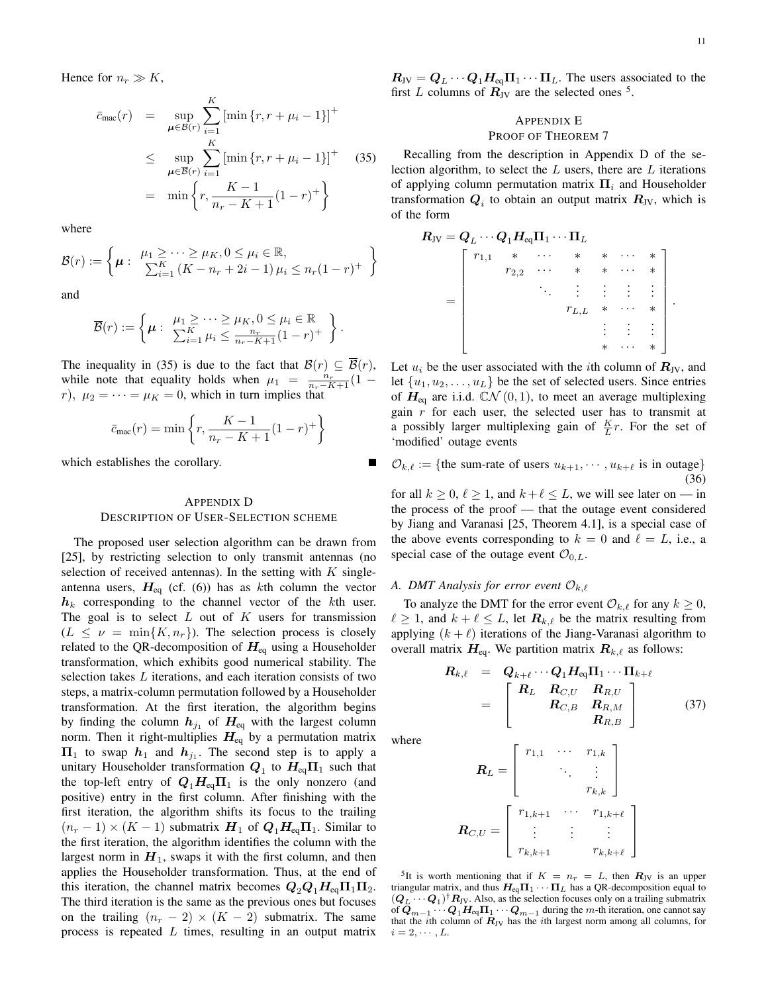.

Hence for  $n_r \gg K$ ,

$$
\bar{c}_{\text{mac}}(r) = \sup_{\mu \in \mathcal{B}(r)} \sum_{i=1}^{K} \left[ \min \{r, r + \mu_i - 1\} \right]^{+}
$$
\n
$$
\leq \sup_{\mu \in \overline{\mathcal{B}}(r)} \sum_{i=1}^{K} \left[ \min \{r, r + \mu_i - 1\} \right]^{+} \quad (35)
$$
\n
$$
= \min \left\{ r, \frac{K - 1}{n_r - K + 1} (1 - r)^{+} \right\}
$$

where

$$
\mathcal{B}(r) := \left\{ \mu : \begin{array}{l} \mu_1 \geq \cdots \geq \mu_K, 0 \leq \mu_i \in \mathbb{R}, \\ \sum_{i=1}^K \left( K - n_r + 2i - 1 \right) \mu_i \leq n_r (1 - r)^+ \end{array} \right\}
$$

and

$$
\overline{\mathcal{B}}(r) := \left\{ \boldsymbol{\mu} : \begin{array}{l} \mu_1 \geq \cdots \geq \mu_K, 0 \leq \mu_i \in \mathbb{R} \\ \sum_{i=1}^K \mu_i \leq \frac{n_r}{n_r - K + 1} (1 - r)^+ \end{array} \right\}.
$$

The inequality in (35) is due to the fact that  $\mathcal{B}(r) \subseteq \overline{\mathcal{B}}(r)$ , while note that equality holds when  $\mu_1 = \frac{n_r}{n_r - K + 1} (1$ r),  $\mu_2 = \cdots = \mu_K = 0$ , which in turn implies that

$$
\bar{c}_{\text{mac}}(r) = \min \left\{ r, \frac{K - 1}{n_r - K + 1} (1 - r)^+ \right\}
$$

which establishes the corollary.

# APPENDIX D DESCRIPTION OF USER-SELECTION SCHEME

The proposed user selection algorithm can be drawn from [25], by restricting selection to only transmit antennas (no selection of received antennas). In the setting with  $K$  singleantenna users,  $H_{eq}$  (cf. (6)) has as kth column the vector  $h_k$  corresponding to the channel vector of the kth user. The goal is to select  $L$  out of  $K$  users for transmission  $(L \leq \nu = \min\{K, n_r\})$ . The selection process is closely related to the QR-decomposition of  $H_{eq}$  using a Householder transformation, which exhibits good numerical stability. The selection takes L iterations, and each iteration consists of two steps, a matrix-column permutation followed by a Householder transformation. At the first iteration, the algorithm begins by finding the column  $h_{j_1}$  of  $H_{eq}$  with the largest column norm. Then it right-multiplies  $H_{\text{eq}}$  by a permutation matrix  $\Pi_1$  to swap  $h_1$  and  $h_{j_1}$ . The second step is to apply a unitary Householder transformation  $\bm{Q}_1$  to  $\bm{H}_{\text{eq}}\bm{\Pi}_1$  such that the top-left entry of  $Q_1H_{eq}\Pi_1$  is the only nonzero (and positive) entry in the first column. After finishing with the first iteration, the algorithm shifts its focus to the trailing  $(n_r - 1) \times (K - 1)$  submatrix  $H_1$  of  $Q_1 H_{eq} \Pi_1$ . Similar to the first iteration, the algorithm identifies the column with the largest norm in  $H_1$ , swaps it with the first column, and then applies the Householder transformation. Thus, at the end of this iteration, the channel matrix becomes  $Q_2Q_1H_{eq}\Pi_1\Pi_2$ . The third iteration is the same as the previous ones but focuses on the trailing  $(n_r - 2) \times (K - 2)$  submatrix. The same process is repeated  $L$  times, resulting in an output matrix  $R_{\text{JV}} = Q_L \cdots Q_1 H_{\text{eq}} \Pi_1 \cdots \Pi_L$ . The users associated to the first L columns of  $\mathbf{R}_{\text{JV}}$  are the selected ones <sup>5</sup>.

## APPENDIX E PROOF OF THEOREM 7

Recalling from the description in Appendix D of the selection algorithm, to select the  $L$  users, there are  $L$  iterations of applying column permutation matrix  $\Pi_i$  and Householder transformation  $Q_i$  to obtain an output matrix  $R_{\rm JV}$ , which is of the form

$$
R_{\rm JV} = Q_L \cdots Q_1 H_{\rm eq} \Pi_1 \cdots \Pi_L
$$
\n
$$
= \begin{bmatrix}\n r_{1,1} & * & \cdots & * & * & \cdots & * \\
 r_{2,2} & \cdots & * & * & \cdots & * \\
 & & \ddots & \vdots & \vdots & \vdots & \vdots \\
 & & & r_{L,L} & * & \cdots & * \\
 & & & & & \vdots & \vdots & \vdots \\
 & & & & & & \vdots & \vdots \\
 & & & & & & & \vdots \\
 & & & & & & & \vdots \\
 & & & & & & & \vdots \\
 & & & & & & & \vdots \\
 & & & & & & & \vdots \\
 & & & & & & & & \vdots \\
 & & & & & & & & \vdots \\
 & & & & & & & & \vdots \\
 & & & & & & & & \vdots \\
 & & & & & & & & \vdots \\
 & & & & & & & & \vdots \\
 & & & & & & & & \vdots \\
 & & & & & & & & \vdots \\
 & & & & & & & & \vdots \\
 & & & & & & & & & \vdots \\
 & & & & & & & & & \vdots \\
 & & & & & & & & & \vdots \\
 & & & & & & & & & \vdots \\
 & & & & & & & & & \vdots\n\end{bmatrix}
$$

Let  $u_i$  be the user associated with the *i*th column of  $R_{\text{JV}}$ , and let  $\{u_1, u_2, \ldots, u_L\}$  be the set of selected users. Since entries of  $H_{eq}$  are i.i.d.  $\mathbb{C}\mathcal{N}(0,1)$ , to meet an average multiplexing gain  $r$  for each user, the selected user has to transmit at a possibly larger multiplexing gain of  $\frac{K}{L}r$ . For the set of 'modified' outage events

 $\mathcal{O}_{k,\ell} := \{\text{the sum-rate of users } u_{k+1}, \cdots, u_{k+\ell} \text{ is in outage}\}\$ (36)

for all  $k \geq 0$ ,  $\ell \geq 1$ , and  $k + \ell \leq L$ , we will see later on — in the process of the proof — that the outage event considered by Jiang and Varanasi [25, Theorem 4.1], is a special case of the above events corresponding to  $k = 0$  and  $\ell = L$ , i.e., a special case of the outage event  $\mathcal{O}_{0,L}$ .

# *A. DMT Analysis for error event*  $\mathcal{O}_{k,\ell}$

To analyze the DMT for the error event  $\mathcal{O}_{k,\ell}$  for any  $k \geq 0$ ,  $\ell \geq 1$ , and  $k + \ell \leq L$ , let  $\mathbf{R}_{k,\ell}$  be the matrix resulting from applying  $(k + \ell)$  iterations of the Jiang-Varanasi algorithm to overall matrix  $H_{eq}$ . We partition matrix  $R_{k,\ell}$  as follows:

$$
\begin{array}{rcl}\n\boldsymbol{R}_{k,\ell} & = & \boldsymbol{Q}_{k+\ell} \cdots \boldsymbol{Q}_1 \boldsymbol{H}_{\text{eq}} \boldsymbol{\Pi}_1 \cdots \boldsymbol{\Pi}_{k+\ell} \\
& = & \begin{bmatrix}\n\boldsymbol{R}_L & \boldsymbol{R}_{C,U} & \boldsymbol{R}_{R,U} \\
\boldsymbol{R}_{C,B} & \boldsymbol{R}_{R,M} & \\
\boldsymbol{R}_{R,B} & \end{bmatrix}\n\end{array} \tag{37}
$$

where

$$
\boldsymbol{R}_L = \begin{bmatrix} r_{1,1} & \cdots & r_{1,k} \\ & \ddots & \vdots \\ & & r_{k,k} \end{bmatrix}
$$

$$
\boldsymbol{R}_{C,U} = \begin{bmatrix} r_{1,k+1} & \cdots & r_{1,k+\ell} \\ \vdots & \vdots & \vdots \\ r_{k,k+1} & & r_{k,k+\ell} \end{bmatrix}
$$

<sup>5</sup>It is worth mentioning that if  $K = n_r = L$ , then  $R_{\text{JV}}$  is an upper triangular matrix, and thus  $H_{eq} \Pi_1 \cdots \Pi_L$  has a QR-decomposition equal to  $(\mathbf{Q}_L \cdots \mathbf{Q}_1)^{\dagger} \mathbf{R}_{\text{JV}}$ . Also, as the selection focuses only on a trailing submatrix of  $\vec{Q}_{m-1}$  · · ·  $Q_1H_{eq}\Pi_1\cdots Q_{m-1}$  during the m-th iteration, one cannot say that the *i*th column of  $R_{\text{JV}}$  has the *i*th largest norm among all columns, for  $i = 2, \cdots, L$ .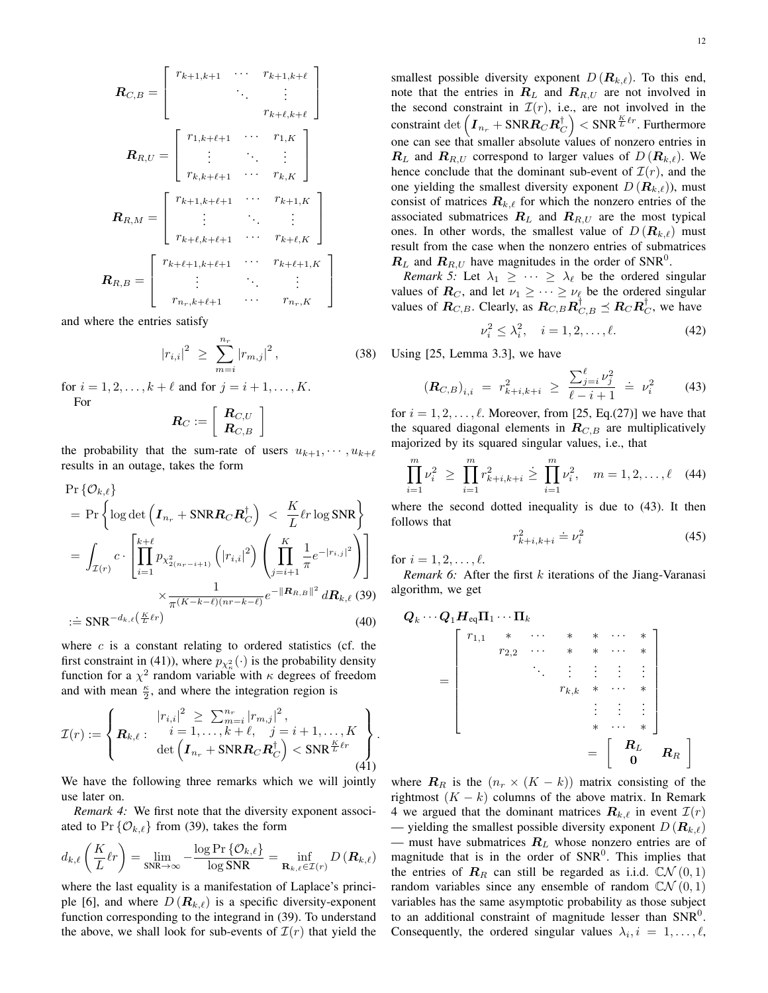$$
\mathbf{R}_{C,B} = \begin{bmatrix} r_{k+1,k+1} & \cdots & r_{k+1,k+\ell} \\ \vdots & \vdots & \vdots \\ r_{k+\ell,k+\ell} & \cdots & r_{1,K} \\ \vdots & \ddots & \vdots \\ r_{k,k+\ell+1} & \cdots & r_{k,K} \end{bmatrix}
$$

$$
\mathbf{R}_{R,M} = \begin{bmatrix} r_{k+1,k+\ell+1} & \cdots & r_{k+1,K} \\ \vdots & \ddots & \vdots \\ r_{k+\ell,k+\ell+1} & \cdots & r_{k+1,K} \\ \vdots & \ddots & \vdots \\ r_{k+\ell+1,k+\ell+1} & \cdots & r_{k+\ell+1,K} \end{bmatrix}
$$

$$
\mathbf{R}_{R,B} = \begin{bmatrix} r_{k+\ell+1,k+\ell+1} & \cdots & r_{k+\ell+1,K} \\ \vdots & \ddots & \vdots \\ r_{n_r,k+\ell+1} & \cdots & r_{n_r,K} \end{bmatrix}
$$

and where the entries satisfy

$$
|r_{i,i}|^2 \ge \sum_{m=i}^{n_r} |r_{m,j}|^2, \qquad (38)
$$

for  $i = 1, 2, ..., k + \ell$  and for  $j = i + 1, ..., K$ . For

$$
\boldsymbol{R}_C := \left[\begin{array}{c} \boldsymbol{R}_{C,U} \\ \boldsymbol{R}_{C,B} \end{array}\right]
$$

the probability that the sum-rate of users  $u_{k+1}, \dots, u_{k+\ell}$ results in an outage, takes the form

$$
\Pr\{O_{k,\ell}\}\n= \Pr\left\{\log \det\left(\boldsymbol{I}_{n_r} + \text{SNR}\boldsymbol{R}_C\boldsymbol{R}_C^\dagger\right) < \frac{K}{L}\ell r \log \text{SNR}\right\}\n= \int_{\mathcal{I}(r)} c \cdot \left[\prod_{i=1}^{k+\ell} p_{\chi^2_{2(n_r-i+1)}}\left(|r_{i,i}|^2\right) \left(\prod_{j=i+1}^K \frac{1}{\pi} e^{-|r_{i,j}|^2}\right)\right]\n\times \frac{1}{\pi^{(K-k-\ell)(nr-k-\ell)}} e^{-\|\boldsymbol{R}_{R,B}\|^2} d\boldsymbol{R}_{k,\ell}
$$
\n
$$
\coloneqq \text{SNR}^{-d_{k,\ell}\left(\frac{K}{L}\ell r\right)} \tag{40}
$$

where  $c$  is a constant relating to ordered statistics (cf. the first constraint in (41)), where  $p_{\chi^2_{\kappa}}(\cdot)$  is the probability density function for a  $\chi^2$  random variable with  $\kappa$  degrees of freedom and with mean  $\frac{\kappa}{2}$ , and where the integration region is

$$
\mathcal{I}(r) := \left\{ \mathbf{R}_{k,\ell} : \begin{array}{l} |r_{i,i}|^2 \geq \sum_{m=i}^{n_r} |r_{m,j}|^2, \\ i = 1, \dots, k + \ell, \quad j = i + 1, \dots, K \\ \det \left( \mathbf{I}_{n_r} + \text{SNRR}_C \mathbf{R}_C^{\dagger} \right) < \text{SNR}^{\frac{K}{L} \ell r} \\ (41) \end{array} \right\}
$$

We have the following three remarks which we will jointly use later on.

*Remark 4:* We first note that the diversity exponent associated to  $Pr\{\mathcal{O}_{k,\ell}\}\$  from (39), takes the form

$$
d_{k,\ell}\left(\frac{K}{L}\ell r\right) = \lim_{\text{SNR}\to\infty} -\frac{\log \Pr \{ \mathcal{O}_{k,\ell} \}}{\log \text{SNR}} = \inf_{\mathbf{R}_{k,\ell} \in \mathcal{I}(r)} D\left(\mathbf{R}_{k,\ell}\right)
$$

where the last equality is a manifestation of Laplace's principle [6], and where  $D(R_{k,\ell})$  is a specific diversity-exponent function corresponding to the integrand in (39). To understand the above, we shall look for sub-events of  $\mathcal{I}(r)$  that yield the smallest possible diversity exponent  $D(R_{k,\ell})$ . To this end, note that the entries in  $R_L$  and  $R_{R,U}$  are not involved in the second constraint in  $\mathcal{I}(r)$ , i.e., are not involved in the constraint  $\det \left( \boldsymbol{I}_{n_r} + \text{SNR} \boldsymbol{R}_C \boldsymbol{R}_C^\dagger \right) < \text{SNR}^{\frac{K}{L} \ell r}.$  Furthermore one can see that smaller absolute values of nonzero entries in  $\mathbf{R}_L$  and  $\mathbf{R}_{R,U}$  correspond to larger values of  $D(\mathbf{R}_{k,\ell})$ . We hence conclude that the dominant sub-event of  $\mathcal{I}(r)$ , and the one yielding the smallest diversity exponent  $D(R_{k,\ell})$ , must consist of matrices  $\mathbf{R}_{k,\ell}$  for which the nonzero entries of the associated submatrices  $R_L$  and  $R_{R,U}$  are the most typical ones. In other words, the smallest value of  $D(R_{k,\ell})$  must result from the case when the nonzero entries of submatrices  $\mathbf{R}_L$  and  $\mathbf{R}_{R,U}$  have magnitudes in the order of SNR<sup>0</sup>.

*Remark 5:* Let  $\lambda_1 \geq \cdots \geq \lambda_\ell$  be the ordered singular values of  $\mathbf{R}_C$ , and let  $\nu_1 \geq \cdots \geq \nu_\ell$  be the ordered singular values of  $\mathbf{R}_{C,B}$ . Clearly, as  $\mathbf{R}_{C,B} \mathbf{R}_{C,B}^{\dagger} \preceq \mathbf{R}_{C} \mathbf{R}_{C}^{\dagger}$ , we have

$$
\nu_i^2 \le \lambda_i^2, \quad i = 1, 2, \dots, \ell. \tag{42}
$$

Using [25, Lemma 3.3], we have

$$
\left(\boldsymbol{R}_{C,B}\right)_{i,i} = r_{k+i,k+i}^2 \ge \frac{\sum_{j=i}^{\ell} \nu_j^2}{\ell - i + 1} = \nu_i^2 \tag{43}
$$

for  $i = 1, 2, \ldots, \ell$ . Moreover, from [25, Eq.(27)] we have that the squared diagonal elements in  $R_{C,B}$  are multiplicatively majorized by its squared singular values, i.e., that

$$
\prod_{i=1}^{m} \nu_i^2 \ge \prod_{i=1}^{m} r_{k+i,k+i}^2 \ge \prod_{i=1}^{m} \nu_i^2, \quad m = 1, 2, \dots, \ell \quad (44)
$$

where the second dotted inequality is due to (43). It then follows that

$$
r_{k+i,k+i}^2 = \nu_i^2 \tag{45}
$$

for  $i = 1, 2, \ldots, \ell$ .

.

*Remark 6:* After the first k iterations of the Jiang-Varanasi algorithm, we get

Q<sup>k</sup> · · · Q1HeqΠ<sup>1</sup> · · · Π<sup>k</sup> = r1,<sup>1</sup> ∗ · · · ∗ ∗ · · · ∗ r2,<sup>2</sup> · · · ∗ ∗ · · · ∗ . . . . . . . . . . . . . . . rk,k ∗ · · · ∗ . . . . . . . . . ∗ · · · ∗ = R<sup>L</sup> 0 R<sup>R</sup> 

where  $\mathbf{R}_R$  is the  $(n_r \times (K - k))$  matrix consisting of the rightmost  $(K - k)$  columns of the above matrix. In Remark 4 we argued that the dominant matrices  $\mathbf{R}_{k,\ell}$  in event  $\mathcal{I}(r)$ — yielding the smallest possible diversity exponent  $D(R_{k,\ell})$ — must have submatrices  $R_L$  whose nonzero entries are of magnitude that is in the order of  $SNR<sup>0</sup>$ . This implies that the entries of  $\mathbf{R}_R$  can still be regarded as i.i.d.  $\mathbb{C}(\mathcal{N}(0,1))$ random variables since any ensemble of random  $\mathbb{C}\mathcal{N}(0,1)$ variables has the same asymptotic probability as those subject to an additional constraint of magnitude lesser than  $SNR<sup>0</sup>$ . Consequently, the ordered singular values  $\lambda_i, i = 1, \ldots, \ell$ ,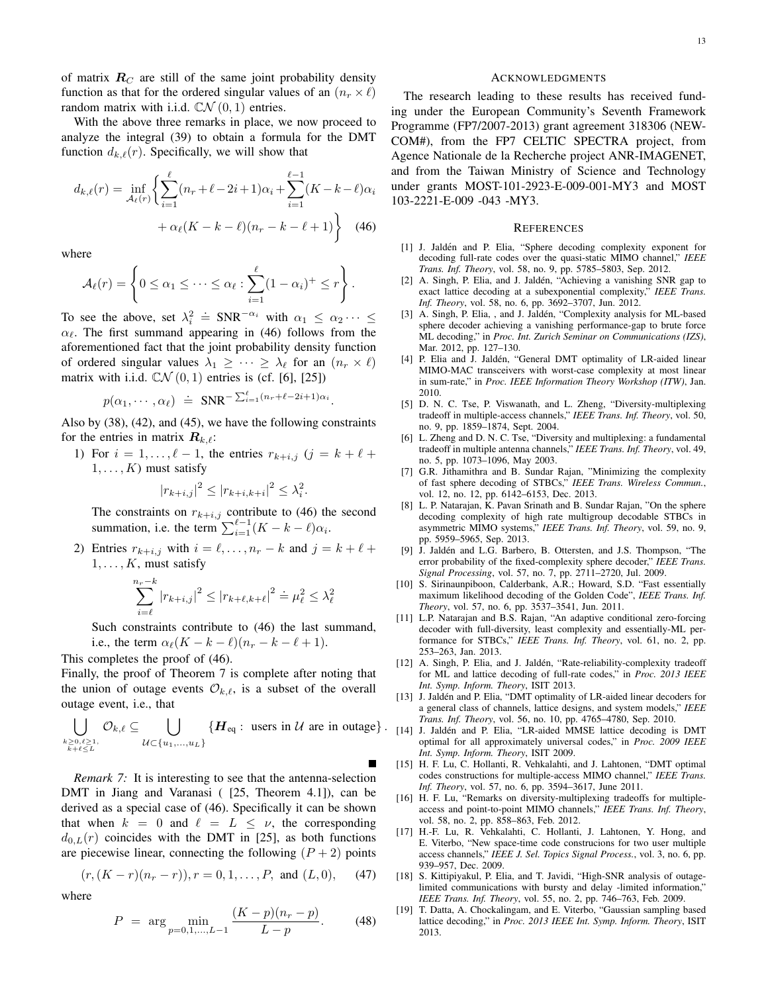of matrix  $R_C$  are still of the same joint probability density function as that for the ordered singular values of an  $(n_r \times \ell)$ random matrix with i.i.d.  $\mathbb{C}\mathcal{N}(0,1)$  entries.

With the above three remarks in place, we now proceed to analyze the integral (39) to obtain a formula for the DMT function  $d_{k,\ell}(r)$ . Specifically, we will show that

$$
d_{k,\ell}(r) = \inf_{\mathcal{A}_{\ell}(r)} \left\{ \sum_{i=1}^{\ell} (n_r + \ell - 2i + 1)\alpha_i + \sum_{i=1}^{\ell-1} (K - k - \ell)\alpha_i + \alpha_{\ell}(K - k - \ell)(n_r - k - \ell + 1) \right\}
$$
(46)

where

$$
\mathcal{A}_{\ell}(r) = \left\{ 0 \leq \alpha_1 \leq \cdots \leq \alpha_{\ell} : \sum_{i=1}^{\ell} (1 - \alpha_i)^+ \leq r \right\}.
$$

To see the above, set  $\lambda_i^2 = SNR^{-\alpha_i}$  with  $\alpha_1 \leq \alpha_2 \cdots \leq$  $\alpha_{\ell}$ . The first summand appearing in (46) follows from the aforementioned fact that the joint probability density function of ordered singular values  $\lambda_1 \geq \cdots \geq \lambda_\ell$  for an  $(n_r \times \ell)$ matrix with i.i.d.  $\mathbb{C}\mathcal{N}(0,1)$  entries is (cf. [6], [25])

$$
p(\alpha_1, \cdots, \alpha_\ell) \doteq \text{SNR}^{-\sum_{i=1}^\ell (n_r + \ell - 2i + 1)\alpha_i}.
$$

Also by (38), (42), and (45), we have the following constraints for the entries in matrix  $\mathbf{R}_{k,\ell}$ :

1) For  $i = 1, ..., \ell - 1$ , the entries  $r_{k+i,j}$   $(j = k + \ell + 1)$  $1, \ldots, K$ ) must satisfy

$$
|r_{k+i,j}|^2 \le |r_{k+i,k+i}|^2 \le \lambda_i^2.
$$

The constraints on  $r_{k+i,j}$  contribute to (46) the second summation, i.e. the term  $\sum_{i=1}^{\ell-1} (K - k - \ell) \alpha_i$ .

2) Entries  $r_{k+i,j}$  with  $i = \ell, \ldots, n_r - k$  and  $j = k + \ell + \ell$  $1, \ldots, K$ , must satisfy

$$
\sum_{i=\ell}^{n_r-k} |r_{k+i,j}|^2 \le |r_{k+\ell,k+\ell}|^2 \doteq \mu_\ell^2 \le \lambda_\ell^2
$$

Such constraints contribute to (46) the last summand, i.e., the term  $\alpha_{\ell}(K - k - \ell)(n_r - k - \ell + 1)$ .

This completes the proof of (46).

Finally, the proof of Theorem 7 is complete after noting that the union of outage events  $\mathcal{O}_{k,\ell}$ , is a subset of the overall outage event, i.e., that

$$
\bigcup_{\substack{k \geq 0, \ell \geq 1, \\ k+\ell \leq L}} \mathcal{O}_{k,\ell} \subseteq \bigcup_{\mathcal{U} \subset \{u_1, \ldots, u_L\}} \{H_{eq} : \text{ users in } \mathcal{U} \text{ are in outage}\}.
$$

*Remark 7:* It is interesting to see that the antenna-selection DMT in Jiang and Varanasi ( [25, Theorem 4.1]), can be derived as a special case of (46). Specifically it can be shown that when  $k = 0$  and  $\ell = L \leq \nu$ , the corresponding  $d_{0,L}(r)$  coincides with the DMT in [25], as both functions are piecewise linear, connecting the following  $(P + 2)$  points

$$
(r, (K - r)(n_r - r)), r = 0, 1, ..., P, \text{ and } (L, 0),
$$
 (47)

where

$$
P = \arg \min_{p=0,1,\dots,L-1} \frac{(K-p)(n_r-p)}{L-p}.
$$
 (48)

#### ACKNOWLEDGMENTS

The research leading to these results has received funding under the European Community's Seventh Framework Programme (FP7/2007-2013) grant agreement 318306 (NEW-COM#), from the FP7 CELTIC SPECTRA project, from Agence Nationale de la Recherche project ANR-IMAGENET, and from the Taiwan Ministry of Science and Technology under grants MOST-101-2923-E-009-001-MY3 and MOST 103-2221-E-009 -043 -MY3.

#### **REFERENCES**

- [1] J. Jaldén and P. Elia, "Sphere decoding complexity exponent for decoding full-rate codes over the quasi-static MIMO channel," *IEEE Trans. Inf. Theory*, vol. 58, no. 9, pp. 5785–5803, Sep. 2012.
- [2] A. Singh, P. Elia, and J. Jaldén, "Achieving a vanishing SNR gap to exact lattice decoding at a subexponential complexity," *IEEE Trans. Inf. Theory*, vol. 58, no. 6, pp. 3692–3707, Jun. 2012.
- [3] A. Singh, P. Elia, , and J. Jaldén, "Complexity analysis for ML-based sphere decoder achieving a vanishing performance-gap to brute force ML decoding," in *Proc. Int. Zurich Seminar on Communications (IZS)*, Mar. 2012, pp. 127–130.
- [4] P. Elia and J. Jaldén, "General DMT optimality of LR-aided linear MIMO-MAC transceivers with worst-case complexity at most linear in sum-rate," in *Proc. IEEE Information Theory Workshop (ITW)*, Jan. 2010.
- [5] D. N. C. Tse, P. Viswanath, and L. Zheng, "Diversity-multiplexing tradeoff in multiple-access channels," *IEEE Trans. Inf. Theory*, vol. 50, no. 9, pp. 1859–1874, Sept. 2004.
- [6] L. Zheng and D. N. C. Tse, "Diversity and multiplexing: a fundamental tradeoff in multiple antenna channels," *IEEE Trans. Inf. Theory*, vol. 49, no. 5, pp. 1073–1096, May 2003.
- [7] G.R. Jithamithra and B. Sundar Rajan, "Minimizing the complexity of fast sphere decoding of STBCs," *IEEE Trans. Wireless Commun.*, vol. 12, no. 12, pp. 6142–6153, Dec. 2013.
- [8] L. P. Natarajan, K. Pavan Srinath and B. Sundar Rajan, "On the sphere decoding complexity of high rate multigroup decodable STBCs in asymmetric MIMO systems," *IEEE Trans. Inf. Theory*, vol. 59, no. 9, pp. 5959–5965, Sep. 2013.
- [9] J. Jaldén and L.G. Barbero, B. Ottersten, and J.S. Thompson, "The error probability of the fixed-complexity sphere decoder," *IEEE Trans. Signal Processing*, vol. 57, no. 7, pp. 2711–2720, Jul. 2009.
- [10] S. Sirinaunpiboon, Calderbank, A.R.; Howard, S.D. "Fast essentially maximum likelihood decoding of the Golden Code", *IEEE Trans. Inf. Theory*, vol. 57, no. 6, pp. 3537–3541, Jun. 2011.
- [11] L.P. Natarajan and B.S. Rajan, "An adaptive conditional zero-forcing decoder with full-diversity, least complexity and essentially-ML performance for STBCs," *IEEE Trans. Inf. Theory*, vol. 61, no. 2, pp. 253–263, Jan. 2013.
- [12] A. Singh, P. Elia, and J. Jaldén, "Rate-reliability-complexity tradeoff for ML and lattice decoding of full-rate codes," in *Proc. 2013 IEEE Int. Symp. Inform. Theory*, ISIT 2013.
- [13] J. Jaldén and P. Elia, "DMT optimality of LR-aided linear decoders for a general class of channels, lattice designs, and system models," *IEEE Trans. Inf. Theory*, vol. 56, no. 10, pp. 4765–4780, Sep. 2010.
- [14] J. Jalden and P. Elia, "LR-aided MMSE lattice decoding is DMT ´ optimal for all approximately universal codes," in *Proc. 2009 IEEE Int. Symp. Inform. Theory*, ISIT 2009.
	- [15] H. F. Lu, C. Hollanti, R. Vehkalahti, and J. Lahtonen, "DMT optimal codes constructions for multiple-access MIMO channel," *IEEE Trans. Inf. Theory*, vol. 57, no. 6, pp. 3594–3617, June 2011.
	- [16] H. F. Lu, "Remarks on diversity-multiplexing tradeoffs for multipleaccess and point-to-point MIMO channels," *IEEE Trans. Inf. Theory*, vol. 58, no. 2, pp. 858–863, Feb. 2012.
	- [17] H.-F. Lu, R. Vehkalahti, C. Hollanti, J. Lahtonen, Y. Hong, and E. Viterbo, "New space-time code construcions for two user multiple access channels," *IEEE J. Sel. Topics Signal Process.*, vol. 3, no. 6, pp. 939–957, Dec. 2009.
	- [18] S. Kittipiyakul, P. Elia, and T. Javidi, "High-SNR analysis of outagelimited communications with bursty and delay -limited information," *IEEE Trans. Inf. Theory*, vol. 55, no. 2, pp. 746–763, Feb. 2009.
	- [19] T. Datta, A. Chockalingam, and E. Viterbo, "Gaussian sampling based lattice decoding," in *Proc. 2013 IEEE Int. Symp. Inform. Theory*, ISIT 2013.